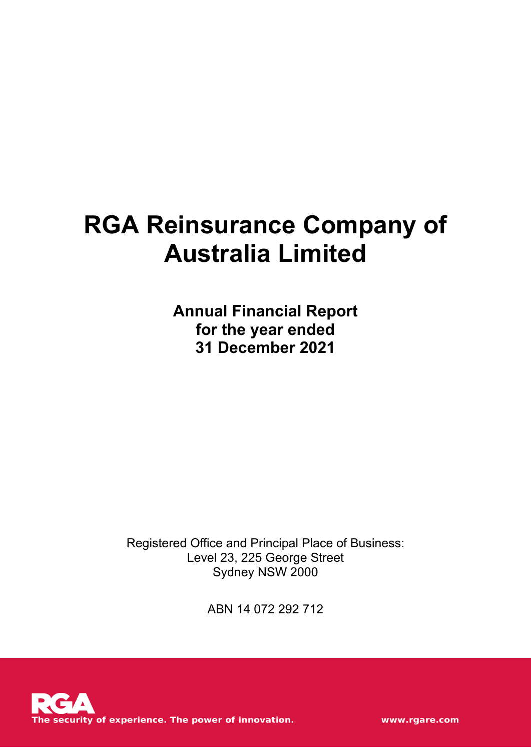# **RGA Reinsurance Company of Australia Limited**

**Annual Financial Report for the year ended 31 December 2021**

Registered Office and Principal Place of Business: Level 23, 225 George Street Sydney NSW 2000

ABN 14 072 292 712



www.rgare.com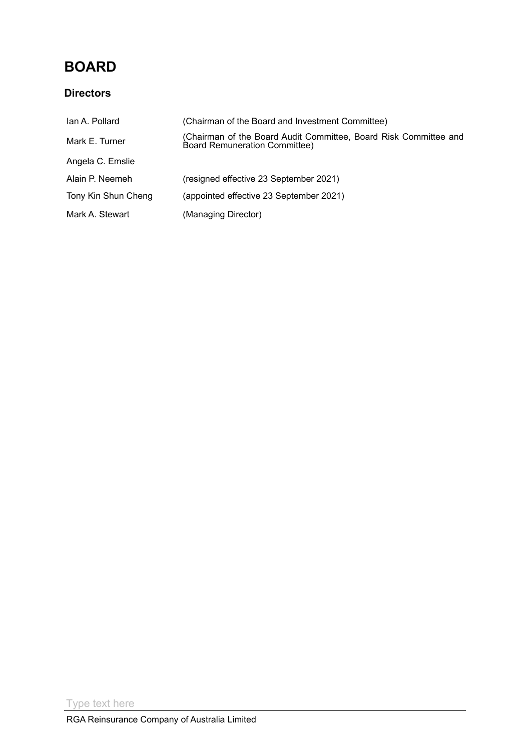### **BOARD**

### **Directors**

| Ian A. Pollard      | (Chairman of the Board and Investment Committee)                                                         |
|---------------------|----------------------------------------------------------------------------------------------------------|
| Mark E. Turner      | (Chairman of the Board Audit Committee, Board Risk Committee and<br><b>Board Remuneration Committee)</b> |
| Angela C. Emslie    |                                                                                                          |
| Alain P. Neemeh     | (resigned effective 23 September 2021)                                                                   |
| Tony Kin Shun Cheng | (appointed effective 23 September 2021)                                                                  |
| Mark A. Stewart     | (Managing Director)                                                                                      |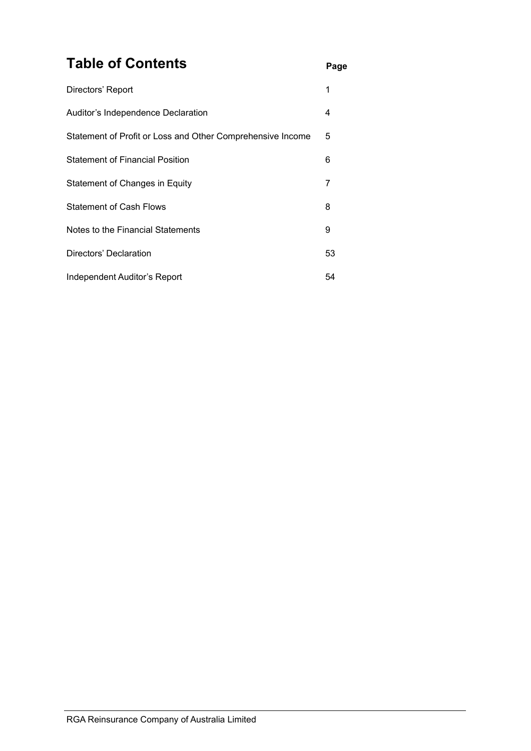### **Table of Contents Page**

| Directors' Report                                          |    |
|------------------------------------------------------------|----|
| Auditor's Independence Declaration                         | 4  |
| Statement of Profit or Loss and Other Comprehensive Income | 5  |
| <b>Statement of Financial Position</b>                     | 6  |
| Statement of Changes in Equity                             | 7  |
| <b>Statement of Cash Flows</b>                             | 8  |
| Notes to the Financial Statements                          | 9  |
| Directors' Declaration                                     | 53 |
| Independent Auditor's Report                               | 54 |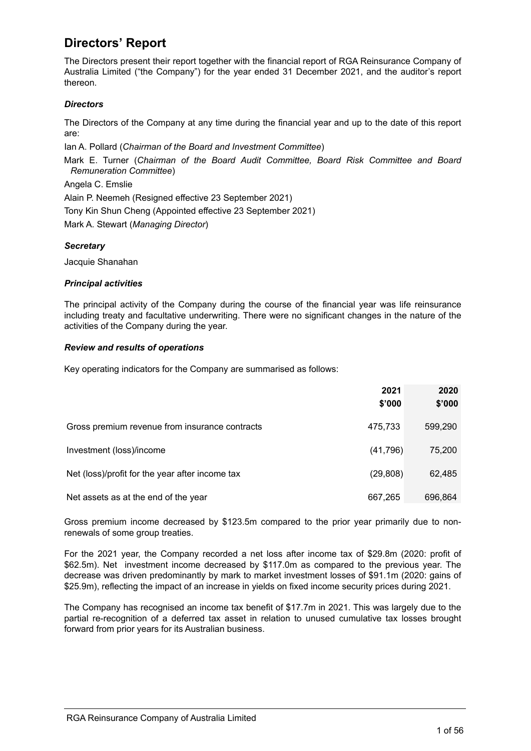### <span id="page-3-0"></span>**Directors' Report**

The Directors present their report together with the financial report of RGA Reinsurance Company of Australia Limited ("the Company") for the year ended 31 December 2021, and the auditor's report thereon.

### *Directors*

The Directors of the Company at any time during the financial year and up to the date of this report are:

Ian A. Pollard (*Chairman of the Board and Investment Committee*)

Mark E. Turner (*Chairman of the Board Audit Committee, Board Risk Committee and Board Remuneration Committee*)

Angela C. Emslie

Alain P. Neemeh (Resigned effective 23 September 2021)

Tony Kin Shun Cheng (Appointed effective 23 September 2021)

Mark A. Stewart (*Managing Director*)

### *Secretary*

Jacquie Shanahan

#### *Principal activities*

The principal activity of the Company during the course of the financial year was life reinsurance including treaty and facultative underwriting. There were no significant changes in the nature of the activities of the Company during the year.

#### *Review and results of operations*

Key operating indicators for the Company are summarised as follows:

|                                                 | 2021<br>\$'000 | 2020<br>\$'000 |
|-------------------------------------------------|----------------|----------------|
| Gross premium revenue from insurance contracts  | 475,733        | 599,290        |
| Investment (loss)/income                        | (41,796)       | 75,200         |
| Net (loss)/profit for the year after income tax | (29, 808)      | 62,485         |
| Net assets as at the end of the year            | 667,265        | 696,864        |

Gross premium income decreased by \$123.5m compared to the prior year primarily due to nonrenewals of some group treaties.

For the 2021 year, the Company recorded a net loss after income tax of \$29.8m (2020: profit of \$62.5m). Net investment income decreased by \$117.0m as compared to the previous year. The decrease was driven predominantly by mark to market investment losses of \$91.1m (2020: gains of \$25.9m), reflecting the impact of an increase in yields on fixed income security prices during 2021.

The Company has recognised an income tax benefit of \$17.7m in 2021. This was largely due to the partial re-recognition of a deferred tax asset in relation to unused cumulative tax losses brought forward from prior years for its Australian business.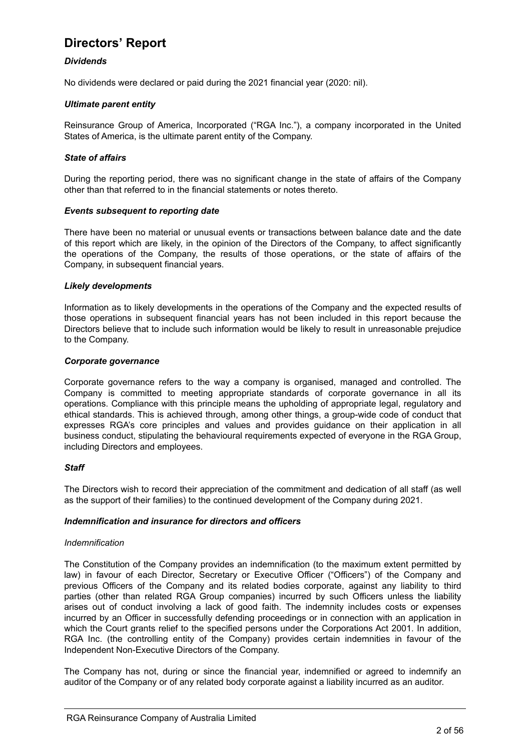### **Directors' Report**

### *Dividends*

No dividends were declared or paid during the 2021 financial year (2020: nil).

#### *Ultimate parent entity*

Reinsurance Group of America, Incorporated ("RGA Inc."), a company incorporated in the United States of America, is the ultimate parent entity of the Company.

#### *State of affairs*

During the reporting period, there was no significant change in the state of affairs of the Company other than that referred to in the financial statements or notes thereto.

#### *Events subsequent to reporting date*

There have been no material or unusual events or transactions between balance date and the date of this report which are likely, in the opinion of the Directors of the Company, to affect significantly the operations of the Company, the results of those operations, or the state of affairs of the Company, in subsequent financial years.

#### *Likely developments*

Information as to likely developments in the operations of the Company and the expected results of those operations in subsequent financial years has not been included in this report because the Directors believe that to include such information would be likely to result in unreasonable prejudice to the Company.

#### *Corporate governance*

Corporate governance refers to the way a company is organised, managed and controlled. The Company is committed to meeting appropriate standards of corporate governance in all its operations. Compliance with this principle means the upholding of appropriate legal, regulatory and ethical standards. This is achieved through, among other things, a group-wide code of conduct that expresses RGA's core principles and values and provides guidance on their application in all business conduct, stipulating the behavioural requirements expected of everyone in the RGA Group, including Directors and employees.

#### *Staff*

The Directors wish to record their appreciation of the commitment and dedication of all staff (as well as the support of their families) to the continued development of the Company during 2021.

### *Indemnification and insurance for directors and officers*

#### *Indemnification*

The Constitution of the Company provides an indemnification (to the maximum extent permitted by law) in favour of each Director, Secretary or Executive Officer ("Officers") of the Company and previous Officers of the Company and its related bodies corporate, against any liability to third parties (other than related RGA Group companies) incurred by such Officers unless the liability arises out of conduct involving a lack of good faith. The indemnity includes costs or expenses incurred by an Officer in successfully defending proceedings or in connection with an application in which the Court grants relief to the specified persons under the Corporations Act 2001. In addition, RGA Inc. (the controlling entity of the Company) provides certain indemnities in favour of the Independent Non-Executive Directors of the Company.

The Company has not, during or since the financial year, indemnified or agreed to indemnify an auditor of the Company or of any related body corporate against a liability incurred as an auditor.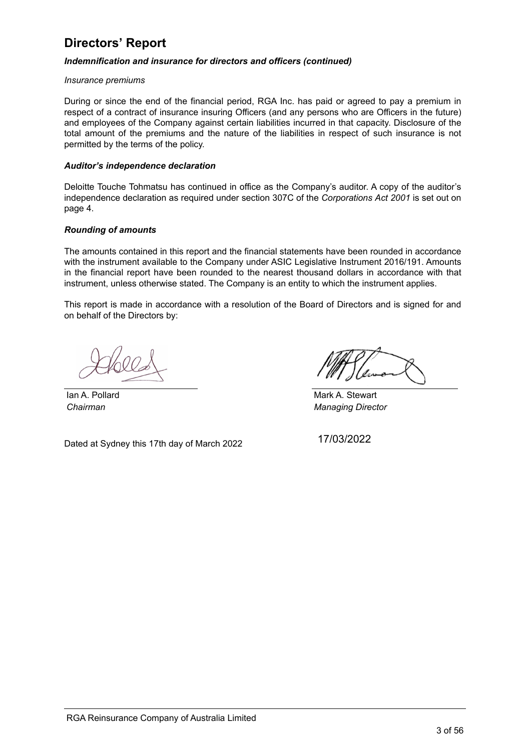### <span id="page-5-0"></span>**Directors' Report**

### *Indemnification and insurance for directors and officers (continued)*

#### *Insurance premiums*

During or since the end of the financial period, RGA Inc. has paid or agreed to pay a premium in respect of a contract of insurance insuring Officers (and any persons who are Officers in the future) and employees of the Company against certain liabilities incurred in that capacity. Disclosure of the total amount of the premiums and the nature of the liabilities in respect of such insurance is not permitted by the terms of the policy.

#### *Auditor's independence declaration*

Deloitte Touche Tohmatsu has continued in office as the Company's auditor. A copy of the auditor's independence declaration as required under section 307C of the *Corporations Act 2001* is set out on page 4.

#### *Rounding of amounts*

The amounts contained in this report and the financial statements have been rounded in accordance with the instrument available to the Company under ASIC Legislative Instrument 2016/191. Amounts in the financial report have been rounded to the nearest thousand dollars in accordance with that instrument, unless otherwise stated. The Company is an entity to which the instrument applies.

This report is made in accordance with a resolution of the Board of Directors and is signed for and on behalf of the Directors by:

Dated at Sydney this 17th day of March 2022

Ian A. Pollard Mark A. Stewart *Chairman Managing Director*

17/03/2022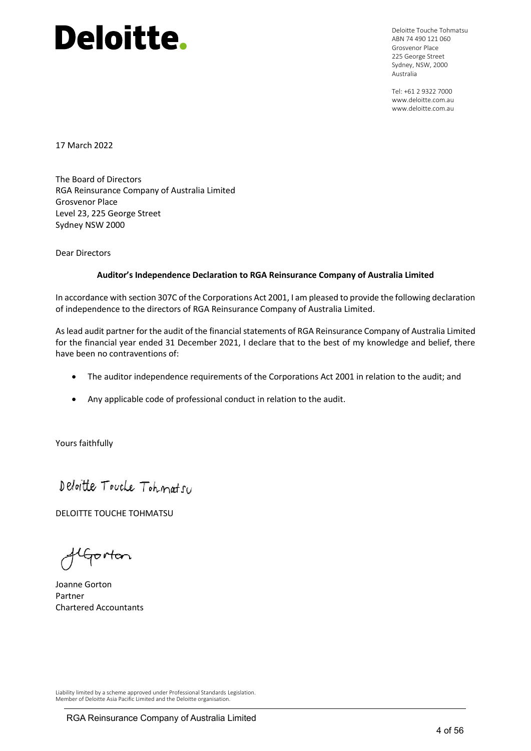Deloitte Touche Tohmatsu ABN 74 490 121 060 Grosvenor Place 225 George Street Sydney, NSW, 2000 Australia

Tel: +61 2 9322 7000 www.deloitte.com.au www.deloitte.com.au

17 March 2022

The Board of Directors RGA Reinsurance Company of Australia Limited Grosvenor Place Level 23, 225 George Street Sydney NSW 2000

Dear Directors

#### **Auditor's Independence Declaration to RGA Reinsurance Company of Australia Limited**

In accordance with section 307C of the Corporations Act 2001, I am pleased to provide the following declaration of independence to the directors of RGA Reinsurance Company of Australia Limited.

As lead audit partner for the audit of the financial statements of RGA Reinsurance Company of Australia Limited for the financial year ended 31 December 2021, I declare that to the best of my knowledge and belief, there have been no contraventions of:

- The auditor independence requirements of the Corporations Act 2001 in relation to the audit; and
- Any applicable code of professional conduct in relation to the audit.

Yours faithfully

Deloitte Touche Tohmatsu

DELOITTE TOUCHE TOHMATSU

flgorton

Joanne Gorton Partner Chartered Accountants

Liability limited by a scheme approved under Professional Standards Legislation. Member of Deloitte Asia Pacific Limited and the Deloitte organisation.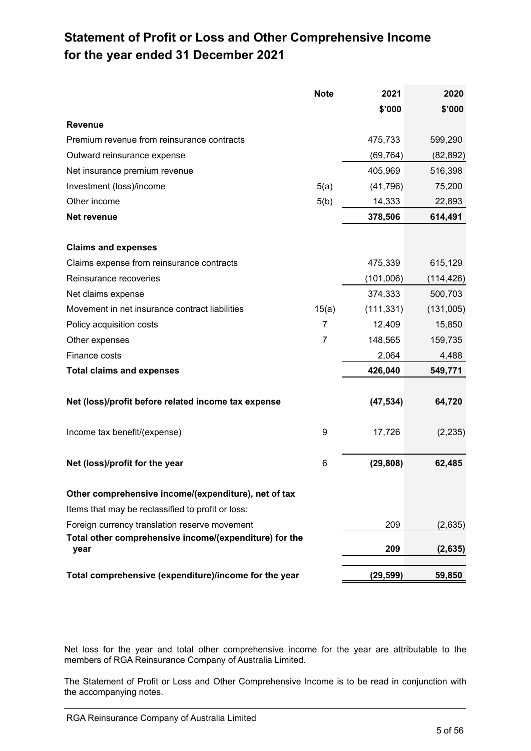### <span id="page-7-0"></span>**Statement of Profit or Loss and Other Comprehensive Income for the year ended 31 December 2021**

|                                                                       | 2020       |
|-----------------------------------------------------------------------|------------|
| \$'000                                                                | \$'000     |
| <b>Revenue</b>                                                        |            |
| Premium revenue from reinsurance contracts<br>475,733                 | 599,290    |
| Outward reinsurance expense<br>(69, 764)                              | (82, 892)  |
| 405,969<br>Net insurance premium revenue                              | 516,398    |
| Investment (loss)/income<br>5(a)<br>(41,796)                          | 75,200     |
| 5(b)<br>Other income<br>14,333                                        | 22,893     |
| 378,506<br>Net revenue                                                | 614,491    |
|                                                                       |            |
| <b>Claims and expenses</b>                                            |            |
| 475,339<br>Claims expense from reinsurance contracts                  | 615,129    |
| Reinsurance recoveries<br>(101,006)                                   | (114, 426) |
| 374,333<br>Net claims expense                                         | 500,703    |
| Movement in net insurance contract liabilities<br>15(a)<br>(111, 331) | (131,005)  |
| 7<br>12,409<br>Policy acquisition costs                               | 15,850     |
| 7<br>148,565<br>Other expenses                                        | 159,735    |
| Finance costs<br>2,064                                                | 4,488      |
| 426,040<br><b>Total claims and expenses</b>                           | 549,771    |
|                                                                       |            |
| Net (loss)/profit before related income tax expense<br>(47, 534)      | 64,720     |
|                                                                       |            |
| 9<br>17,726<br>Income tax benefit/(expense)                           | (2, 235)   |
| (29, 808)<br>6<br>Net (loss)/profit for the year                      | 62,485     |
|                                                                       |            |
| Other comprehensive income/(expenditure), net of tax                  |            |
| Items that may be reclassified to profit or loss:                     |            |
| 209<br>Foreign currency translation reserve movement                  | (2,635)    |
| Total other comprehensive income/(expenditure) for the                |            |
| 209<br>year                                                           | (2,635)    |
| Total comprehensive (expenditure)/income for the year<br>(29, 599)    | 59,850     |

Net loss for the year and total other comprehensive income for the year are attributable to the members of RGA Reinsurance Company of Australia Limited.

The Statement of Profit or Loss and Other Comprehensive Income is to be read in conjunction with<br>the assempanting pates the accompanying notes.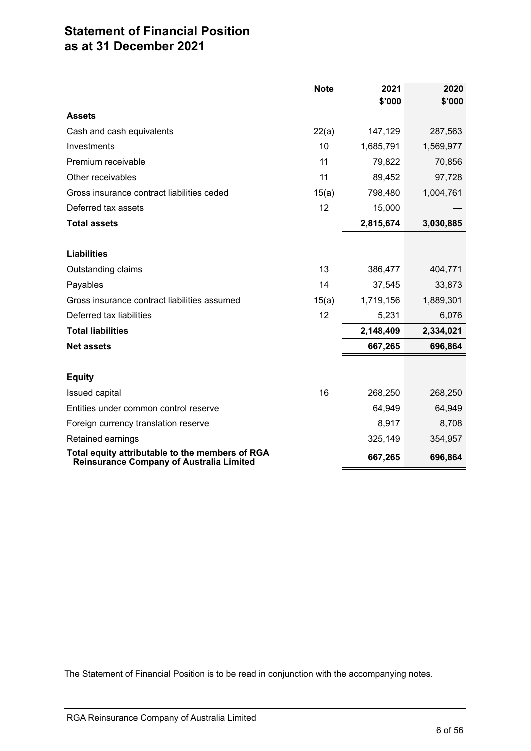### <span id="page-8-0"></span>**Statement of Financial Position as at 31 December 2021**

|                                                                                                    | <b>Note</b> | 2021      | 2020      |
|----------------------------------------------------------------------------------------------------|-------------|-----------|-----------|
|                                                                                                    |             | \$'000    | \$'000    |
| <b>Assets</b>                                                                                      |             |           |           |
| Cash and cash equivalents                                                                          | 22(a)       | 147,129   | 287,563   |
| Investments                                                                                        | 10          | 1,685,791 | 1,569,977 |
| Premium receivable                                                                                 | 11          | 79,822    | 70,856    |
| Other receivables                                                                                  | 11          | 89,452    | 97,728    |
| Gross insurance contract liabilities ceded                                                         | 15(a)       | 798,480   | 1,004,761 |
| Deferred tax assets                                                                                | 12          | 15,000    |           |
| <b>Total assets</b>                                                                                |             | 2,815,674 | 3,030,885 |
|                                                                                                    |             |           |           |
| <b>Liabilities</b>                                                                                 |             |           |           |
| Outstanding claims                                                                                 | 13          | 386,477   | 404,771   |
| Payables                                                                                           | 14          | 37,545    | 33,873    |
| Gross insurance contract liabilities assumed                                                       | 15(a)       | 1,719,156 | 1,889,301 |
| Deferred tax liabilities                                                                           | 12          | 5,231     | 6,076     |
| <b>Total liabilities</b>                                                                           |             | 2,148,409 | 2,334,021 |
| <b>Net assets</b>                                                                                  |             | 667,265   | 696,864   |
|                                                                                                    |             |           |           |
| <b>Equity</b>                                                                                      |             |           |           |
| <b>Issued capital</b>                                                                              | 16          | 268,250   | 268,250   |
| Entities under common control reserve                                                              |             | 64,949    | 64,949    |
| Foreign currency translation reserve                                                               |             | 8,917     | 8,708     |
| Retained earnings                                                                                  |             | 325,149   | 354,957   |
| Total equity attributable to the members of RGA<br><b>Reinsurance Company of Australia Limited</b> |             | 667,265   | 696,864   |

The Statement of Financial Position is to be read in conjunction with the accompanying notes.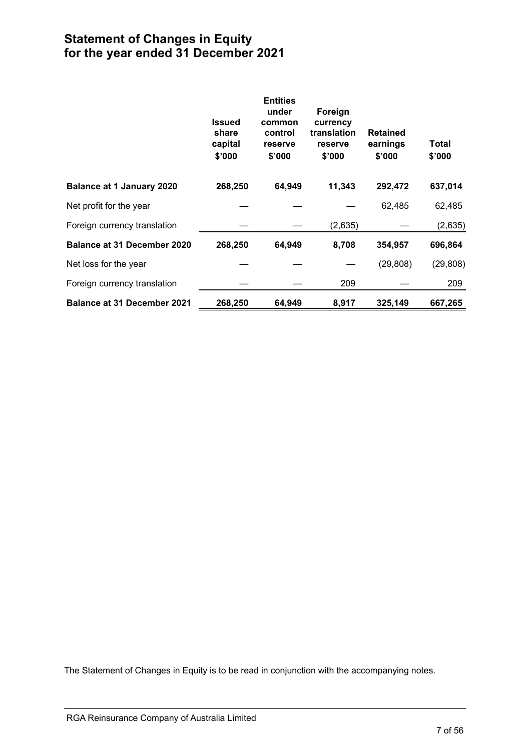### <span id="page-9-0"></span>**Statement of Changes in Equity for the year ended 31 December 2021**

|                                    | <b>Issued</b><br>share<br>capital<br>\$'000 | <b>Entities</b><br>under<br>common<br>control<br>reserve<br>\$'000 | Foreign<br>currency<br>translation<br>reserve<br>\$'000 | <b>Retained</b><br>earnings<br>\$'000 | Total<br>\$'000 |
|------------------------------------|---------------------------------------------|--------------------------------------------------------------------|---------------------------------------------------------|---------------------------------------|-----------------|
| <b>Balance at 1 January 2020</b>   | 268,250                                     | 64,949                                                             | 11,343                                                  | 292,472                               | 637,014         |
| Net profit for the year            |                                             |                                                                    |                                                         | 62,485                                | 62,485          |
| Foreign currency translation       |                                             |                                                                    | (2,635)                                                 |                                       | (2,635)         |
| Balance at 31 December 2020        | 268,250                                     | 64,949                                                             | 8,708                                                   | 354,957                               | 696,864         |
| Net loss for the year              |                                             |                                                                    |                                                         | (29, 808)                             | (29, 808)       |
| Foreign currency translation       |                                             |                                                                    | 209                                                     |                                       | 209             |
| <b>Balance at 31 December 2021</b> | 268,250                                     | 64,949                                                             | 8,917                                                   | 325,149                               | 667,265         |

The Statement of Changes in Equity is to be read in conjunction with the accompanying notes.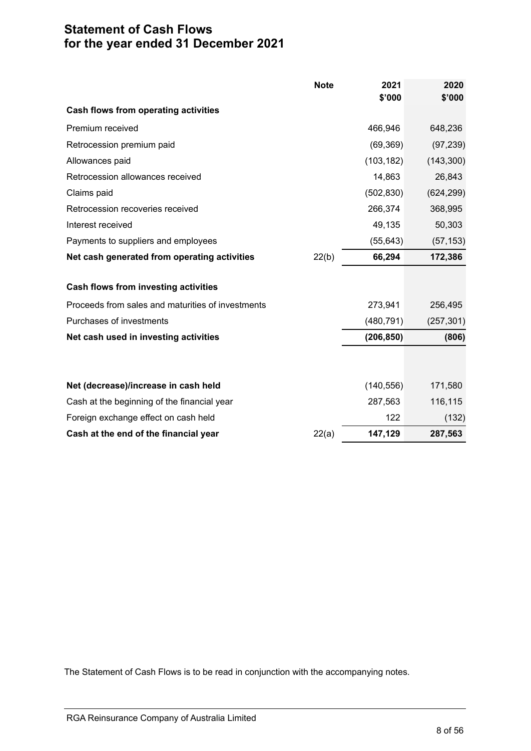### <span id="page-10-0"></span>**Statement of Cash Flows for the year ended 31 December 2021**

|                                                   | <b>Note</b> | 2021<br>\$'000 | 2020<br>\$'000 |
|---------------------------------------------------|-------------|----------------|----------------|
| <b>Cash flows from operating activities</b>       |             |                |                |
| Premium received                                  |             | 466,946        | 648,236        |
| Retrocession premium paid                         |             | (69, 369)      | (97, 239)      |
| Allowances paid                                   |             | (103, 182)     | (143, 300)     |
| Retrocession allowances received                  |             | 14,863         | 26,843         |
| Claims paid                                       |             | (502, 830)     | (624, 299)     |
| Retrocession recoveries received                  |             | 266,374        | 368,995        |
| Interest received                                 |             | 49,135         | 50,303         |
| Payments to suppliers and employees               |             | (55, 643)      | (57, 153)      |
| Net cash generated from operating activities      | 22(b)       | 66,294         | 172,386        |
| <b>Cash flows from investing activities</b>       |             |                |                |
| Proceeds from sales and maturities of investments |             | 273,941        | 256,495        |
| Purchases of investments                          |             | (480, 791)     | (257, 301)     |
| Net cash used in investing activities             |             | (206, 850)     | (806)          |
|                                                   |             |                |                |
| Net (decrease)/increase in cash held              |             | (140, 556)     | 171,580        |
| Cash at the beginning of the financial year       |             | 287,563        | 116,115        |
| Foreign exchange effect on cash held              |             | 122            | (132)          |
| Cash at the end of the financial year             | 22(a)       | 147,129        | 287,563        |

The Statement of Cash Flows is to be read in conjunction with the accompanying notes.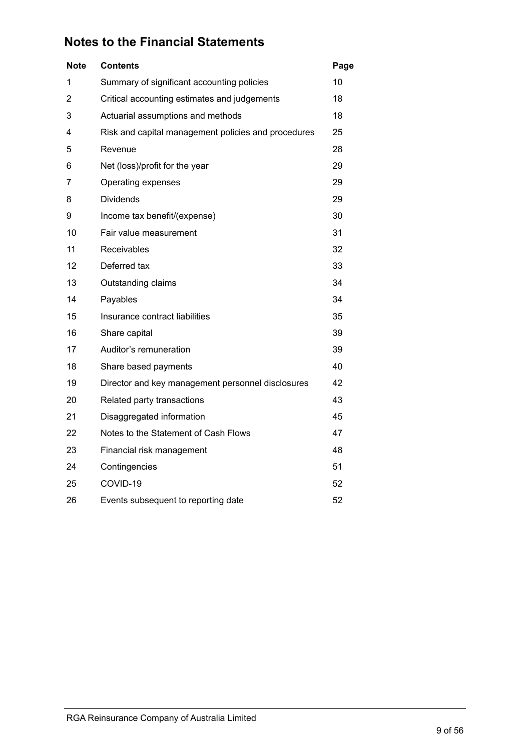<span id="page-11-0"></span>

| <b>Note</b>    | <b>Contents</b>                                     | Page |
|----------------|-----------------------------------------------------|------|
| 1              | Summary of significant accounting policies          | 10   |
| $\overline{2}$ | Critical accounting estimates and judgements        | 18   |
| 3              | Actuarial assumptions and methods                   | 18   |
| 4              | Risk and capital management policies and procedures | 25   |
| 5              | Revenue                                             | 28   |
| 6              | Net (loss)/profit for the year                      | 29   |
| 7              | Operating expenses                                  | 29   |
| 8              | <b>Dividends</b>                                    | 29   |
| 9              | Income tax benefit/(expense)                        | 30   |
| 10             | Fair value measurement                              | 31   |
| 11             | Receivables                                         | 32   |
| 12             | Deferred tax                                        | 33   |
| 13             | Outstanding claims                                  | 34   |
| 14             | Payables                                            | 34   |
| 15             | Insurance contract liabilities                      | 35   |
| 16             | Share capital                                       | 39   |
| 17             | Auditor's remuneration                              | 39   |
| 18             | Share based payments                                | 40   |
| 19             | Director and key management personnel disclosures   | 42   |
| 20             | Related party transactions                          | 43   |
| 21             | Disaggregated information                           | 45   |
| 22             | Notes to the Statement of Cash Flows                | 47   |
| 23             | Financial risk management                           | 48   |
| 24             | Contingencies                                       | 51   |
| 25             | COVID-19                                            | 52   |
| 26             | Events subsequent to reporting date                 | 52   |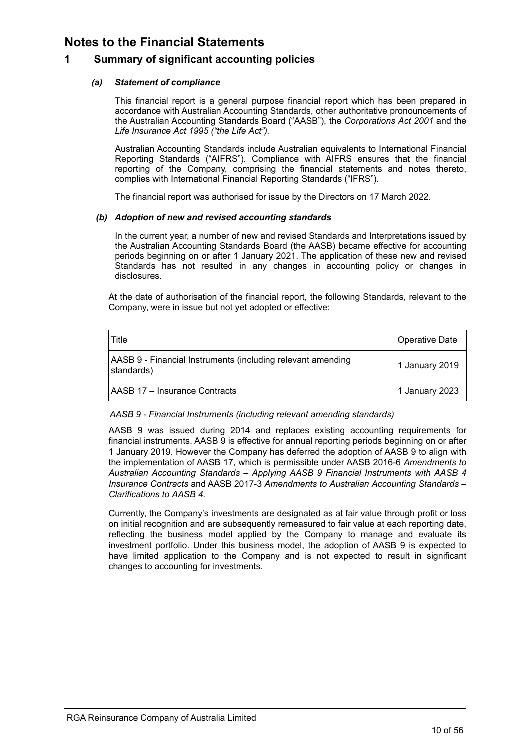### **1 Summary of significant accounting policies**

### *(a) Statement of compliance*

This financial report is a general purpose financial report which has been prepared in accordance with Australian Accounting Standards, other authoritative pronouncements of the Australian Accounting Standards Board ("AASB"), the *Corporations Act 2001* and the *Life Insurance Act 1995 ("the Life Act").*

Australian Accounting Standards include Australian equivalents to International Financial Reporting Standards ("AIFRS"). Compliance with AIFRS ensures that the financial reporting of the Company, comprising the financial statements and notes thereto, complies with International Financial Reporting Standards ("IFRS").

The financial report was authorised for issue by the Directors on 17 March 2022.

### *(b) Adoption of new and revised accounting standards*

In the current year, a number of new and revised Standards and Interpretations issued by the Australian Accounting Standards Board (the AASB) became effective for accounting periods beginning on or after 1 January 2021. The application of these new and revised Standards has not resulted in any changes in accounting policy or changes in disclosures.

At the date of authorisation of the financial report, the following Standards, relevant to the Company, were in issue but not yet adopted or effective:

| Title                                                                     | Operative Date |
|---------------------------------------------------------------------------|----------------|
| AASB 9 - Financial Instruments (including relevant amending<br>standards) | 1 January 2019 |
| <b>AASB 17 - Insurance Contracts</b>                                      | 1 January 2023 |

### *AASB 9 - Financial Instruments (including relevant amending standards)*

AASB 9 was issued during 2014 and replaces existing accounting requirements for financial instruments. AASB 9 is effective for annual reporting periods beginning on or after 1 January 2019. However the Company has deferred the adoption of AASB 9 to align with the implementation of AASB 17, which is permissible under AASB 2016-6 *Amendments to Australian Accounting Standards – Applying AASB 9 Financial Instruments with AASB 4 Insurance Contracts* and AASB 2017-3 *Amendments to Australian Accounting Standards – Clarifications to AASB 4.*

Currently, the Company's investments are designated as at fair value through profit or loss on initial recognition and are subsequently remeasured to fair value at each reporting date, reflecting the business model applied by the Company to manage and evaluate its investment portfolio. Under this business model, the adoption of AASB 9 is expected to have limited application to the Company and is not expected to result in significant changes to accounting for investments.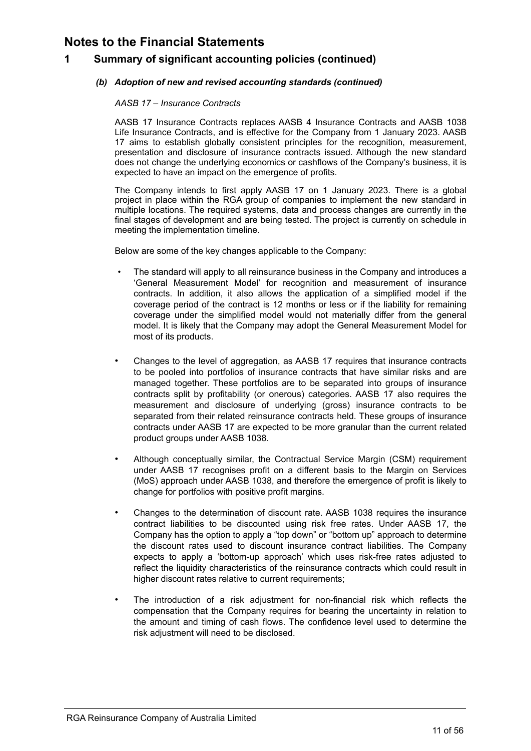### **1 Summary of significant accounting policies (continued)**

### *(b) Adoption of new and revised accounting standards (continued)*

### *AASB 17 – Insurance Contracts*

AASB 17 Insurance Contracts replaces AASB 4 Insurance Contracts and AASB 1038 Life Insurance Contracts, and is effective for the Company from 1 January 2023. AASB 17 aims to establish globally consistent principles for the recognition, measurement, presentation and disclosure of insurance contracts issued. Although the new standard does not change the underlying economics or cashflows of the Company's business, it is expected to have an impact on the emergence of profits.

The Company intends to first apply AASB 17 on 1 January 2023. There is a global project in place within the RGA group of companies to implement the new standard in multiple locations. The required systems, data and process changes are currently in the final stages of development and are being tested. The project is currently on schedule in meeting the implementation timeline.

Below are some of the key changes applicable to the Company:

- The standard will apply to all reinsurance business in the Company and introduces a 'General Measurement Model' for recognition and measurement of insurance contracts. In addition, it also allows the application of a simplified model if the coverage period of the contract is 12 months or less or if the liability for remaining coverage under the simplified model would not materially differ from the general model. It is likely that the Company may adopt the General Measurement Model for most of its products.
- Changes to the level of aggregation, as AASB 17 requires that insurance contracts to be pooled into portfolios of insurance contracts that have similar risks and are managed together. These portfolios are to be separated into groups of insurance contracts split by profitability (or onerous) categories. AASB 17 also requires the measurement and disclosure of underlying (gross) insurance contracts to be separated from their related reinsurance contracts held. These groups of insurance contracts under AASB 17 are expected to be more granular than the current related product groups under AASB 1038.
- Although conceptually similar, the Contractual Service Margin (CSM) requirement under AASB 17 recognises profit on a different basis to the Margin on Services (MoS) approach under AASB 1038, and therefore the emergence of profit is likely to change for portfolios with positive profit margins.
- Changes to the determination of discount rate. AASB 1038 requires the insurance contract liabilities to be discounted using risk free rates. Under AASB 17, the Company has the option to apply a "top down" or "bottom up" approach to determine the discount rates used to discount insurance contract liabilities. The Company expects to apply a 'bottom-up approach' which uses risk-free rates adjusted to reflect the liquidity characteristics of the reinsurance contracts which could result in higher discount rates relative to current requirements;
- The introduction of a risk adjustment for non-financial risk which reflects the compensation that the Company requires for bearing the uncertainty in relation to the amount and timing of cash flows. The confidence level used to determine the risk adjustment will need to be disclosed.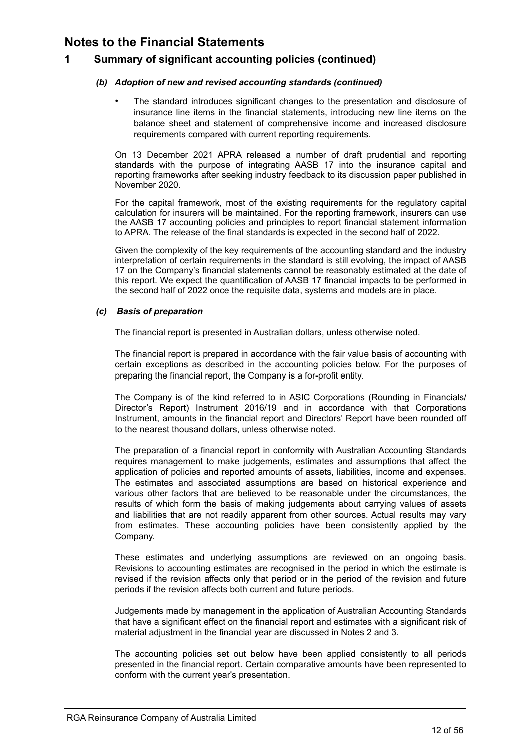### **1 Summary of significant accounting policies (continued)**

### *(b) Adoption of new and revised accounting standards (continued)*

• The standard introduces significant changes to the presentation and disclosure of insurance line items in the financial statements, introducing new line items on the balance sheet and statement of comprehensive income and increased disclosure requirements compared with current reporting requirements.

On 13 December 2021 APRA released a number of draft prudential and reporting standards with the purpose of integrating AASB 17 into the insurance capital and reporting frameworks after seeking industry feedback to its discussion paper published in November 2020.

For the capital framework, most of the existing requirements for the regulatory capital calculation for insurers will be maintained. For the reporting framework, insurers can use the AASB 17 accounting policies and principles to report financial statement information to APRA. The release of the final standards is expected in the second half of 2022.

Given the complexity of the key requirements of the accounting standard and the industry interpretation of certain requirements in the standard is still evolving, the impact of AASB 17 on the Company's financial statements cannot be reasonably estimated at the date of this report. We expect the quantification of AASB 17 financial impacts to be performed in the second half of 2022 once the requisite data, systems and models are in place.

### *(c) Basis of preparation*

The financial report is presented in Australian dollars, unless otherwise noted.

The financial report is prepared in accordance with the fair value basis of accounting with certain exceptions as described in the accounting policies below. For the purposes of preparing the financial report, the Company is a for-profit entity.

The Company is of the kind referred to in ASIC Corporations (Rounding in Financials/ Director's Report) Instrument 2016/19 and in accordance with that Corporations Instrument, amounts in the financial report and Directors' Report have been rounded off to the nearest thousand dollars, unless otherwise noted.

The preparation of a financial report in conformity with Australian Accounting Standards requires management to make judgements, estimates and assumptions that affect the application of policies and reported amounts of assets, liabilities, income and expenses. The estimates and associated assumptions are based on historical experience and various other factors that are believed to be reasonable under the circumstances, the results of which form the basis of making judgements about carrying values of assets and liabilities that are not readily apparent from other sources. Actual results may vary from estimates. These accounting policies have been consistently applied by the Company.

These estimates and underlying assumptions are reviewed on an ongoing basis. Revisions to accounting estimates are recognised in the period in which the estimate is revised if the revision affects only that period or in the period of the revision and future periods if the revision affects both current and future periods.

Judgements made by management in the application of Australian Accounting Standards that have a significant effect on the financial report and estimates with a significant risk of material adjustment in the financial year are discussed in Notes 2 and 3.

The accounting policies set out below have been applied consistently to all periods presented in the financial report. Certain comparative amounts have been represented to conform with the current year's presentation.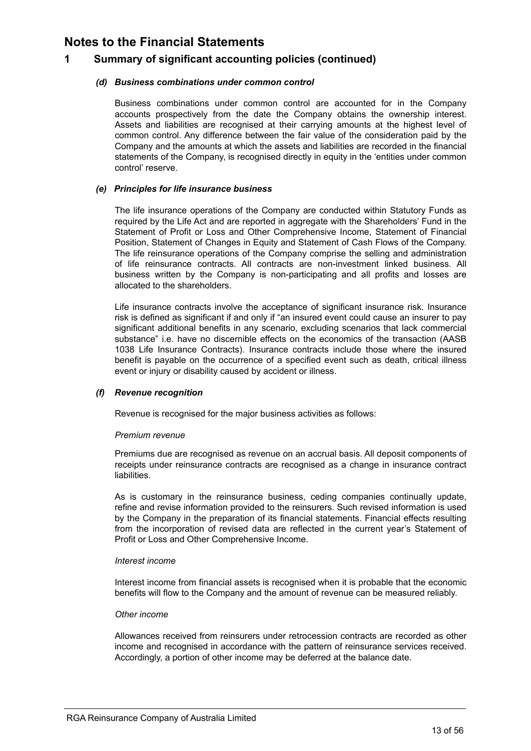### **1 Summary of significant accounting policies (continued)**

### *(d) Business combinations under common control*

Business combinations under common control are accounted for in the Company accounts prospectively from the date the Company obtains the ownership interest. Assets and liabilities are recognised at their carrying amounts at the highest level of common control. Any difference between the fair value of the consideration paid by the Company and the amounts at which the assets and liabilities are recorded in the financial statements of the Company, is recognised directly in equity in the 'entities under common control' reserve.

#### *(e) Principles for life insurance business*

The life insurance operations of the Company are conducted within Statutory Funds as required by the Life Act and are reported in aggregate with the Shareholders' Fund in the Statement of Profit or Loss and Other Comprehensive Income, Statement of Financial Position, Statement of Changes in Equity and Statement of Cash Flows of the Company. The life reinsurance operations of the Company comprise the selling and administration of life reinsurance contracts. All contracts are non-investment linked business. All business written by the Company is non-participating and all profits and losses are allocated to the shareholders.

Life insurance contracts involve the acceptance of significant insurance risk. Insurance risk is defined as significant if and only if "an insured event could cause an insurer to pay significant additional benefits in any scenario, excluding scenarios that lack commercial substance" i.e. have no discernible effects on the economics of the transaction (AASB 1038 Life Insurance Contracts). Insurance contracts include those where the insured benefit is payable on the occurrence of a specified event such as death, critical illness event or injury or disability caused by accident or illness.

#### *(f) Revenue recognition*

Revenue is recognised for the major business activities as follows:

#### *Premium revenue*

Premiums due are recognised as revenue on an accrual basis. All deposit components of receipts under reinsurance contracts are recognised as a change in insurance contract liabilities.

As is customary in the reinsurance business, ceding companies continually update, refine and revise information provided to the reinsurers. Such revised information is used by the Company in the preparation of its financial statements. Financial effects resulting from the incorporation of revised data are reflected in the current year's Statement of Profit or Loss and Other Comprehensive Income.

#### *Interest income*

Interest income from financial assets is recognised when it is probable that the economic benefits will flow to the Company and the amount of revenue can be measured reliably.

#### *Other income*

Allowances received from reinsurers under retrocession contracts are recorded as other income and recognised in accordance with the pattern of reinsurance services received. Accordingly, a portion of other income may be deferred at the balance date.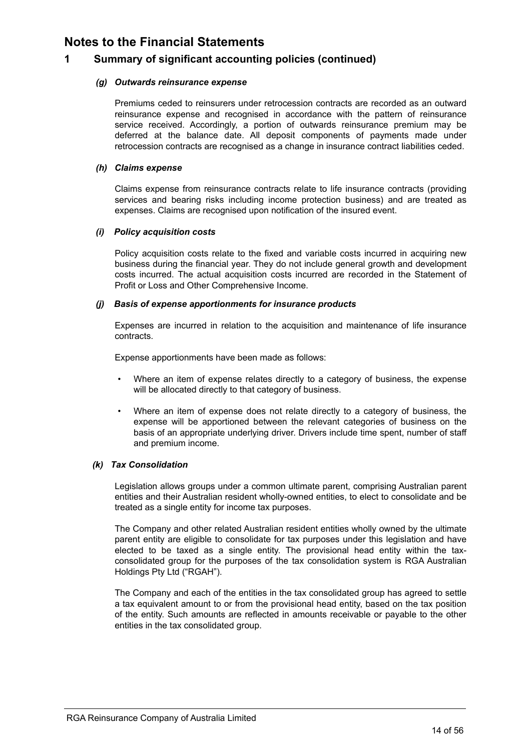### **1 Summary of significant accounting policies (continued)**

### *(g) Outwards reinsurance expense*

Premiums ceded to reinsurers under retrocession contracts are recorded as an outward reinsurance expense and recognised in accordance with the pattern of reinsurance service received. Accordingly, a portion of outwards reinsurance premium may be deferred at the balance date. All deposit components of payments made under retrocession contracts are recognised as a change in insurance contract liabilities ceded.

#### *(h) Claims expense*

Claims expense from reinsurance contracts relate to life insurance contracts (providing services and bearing risks including income protection business) and are treated as expenses. Claims are recognised upon notification of the insured event.

### *(i) Policy acquisition costs*

Policy acquisition costs relate to the fixed and variable costs incurred in acquiring new business during the financial year. They do not include general growth and development costs incurred. The actual acquisition costs incurred are recorded in the Statement of Profit or Loss and Other Comprehensive Income.

#### *(j) Basis of expense apportionments for insurance products*

Expenses are incurred in relation to the acquisition and maintenance of life insurance contracts.

Expense apportionments have been made as follows:

- Where an item of expense relates directly to a category of business, the expense will be allocated directly to that category of business.
- Where an item of expense does not relate directly to a category of business, the expense will be apportioned between the relevant categories of business on the basis of an appropriate underlying driver. Drivers include time spent, number of staff and premium income.

### *(k) Tax Consolidation*

Legislation allows groups under a common ultimate parent, comprising Australian parent entities and their Australian resident wholly-owned entities, to elect to consolidate and be treated as a single entity for income tax purposes.

The Company and other related Australian resident entities wholly owned by the ultimate parent entity are eligible to consolidate for tax purposes under this legislation and have elected to be taxed as a single entity. The provisional head entity within the taxconsolidated group for the purposes of the tax consolidation system is RGA Australian Holdings Pty Ltd ("RGAH").

The Company and each of the entities in the tax consolidated group has agreed to settle a tax equivalent amount to or from the provisional head entity, based on the tax position of the entity. Such amounts are reflected in amounts receivable or payable to the other entities in the tax consolidated group.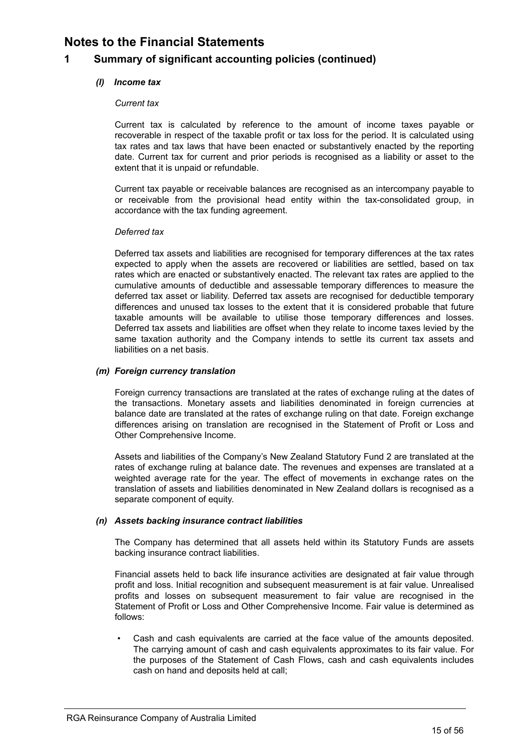### **1 Summary of significant accounting policies (continued)**

### *(l) Income tax*

### *Current tax*

Current tax is calculated by reference to the amount of income taxes payable or recoverable in respect of the taxable profit or tax loss for the period. It is calculated using tax rates and tax laws that have been enacted or substantively enacted by the reporting date. Current tax for current and prior periods is recognised as a liability or asset to the extent that it is unpaid or refundable.

Current tax payable or receivable balances are recognised as an intercompany payable to or receivable from the provisional head entity within the tax-consolidated group, in accordance with the tax funding agreement.

#### *Deferred tax*

Deferred tax assets and liabilities are recognised for temporary differences at the tax rates expected to apply when the assets are recovered or liabilities are settled, based on tax rates which are enacted or substantively enacted. The relevant tax rates are applied to the cumulative amounts of deductible and assessable temporary differences to measure the deferred tax asset or liability. Deferred tax assets are recognised for deductible temporary differences and unused tax losses to the extent that it is considered probable that future taxable amounts will be available to utilise those temporary differences and losses. Deferred tax assets and liabilities are offset when they relate to income taxes levied by the same taxation authority and the Company intends to settle its current tax assets and liabilities on a net basis.

### *(m) Foreign currency translation*

Foreign currency transactions are translated at the rates of exchange ruling at the dates of the transactions. Monetary assets and liabilities denominated in foreign currencies at balance date are translated at the rates of exchange ruling on that date. Foreign exchange differences arising on translation are recognised in the Statement of Profit or Loss and Other Comprehensive Income.

Assets and liabilities of the Company's New Zealand Statutory Fund 2 are translated at the rates of exchange ruling at balance date. The revenues and expenses are translated at a weighted average rate for the year. The effect of movements in exchange rates on the translation of assets and liabilities denominated in New Zealand dollars is recognised as a separate component of equity.

### *(n) Assets backing insurance contract liabilities*

The Company has determined that all assets held within its Statutory Funds are assets backing insurance contract liabilities.

Financial assets held to back life insurance activities are designated at fair value through profit and loss. Initial recognition and subsequent measurement is at fair value. Unrealised profits and losses on subsequent measurement to fair value are recognised in the Statement of Profit or Loss and Other Comprehensive Income. Fair value is determined as follows:

Cash and cash equivalents are carried at the face value of the amounts deposited. The carrying amount of cash and cash equivalents approximates to its fair value. For the purposes of the Statement of Cash Flows, cash and cash equivalents includes cash on hand and deposits held at call;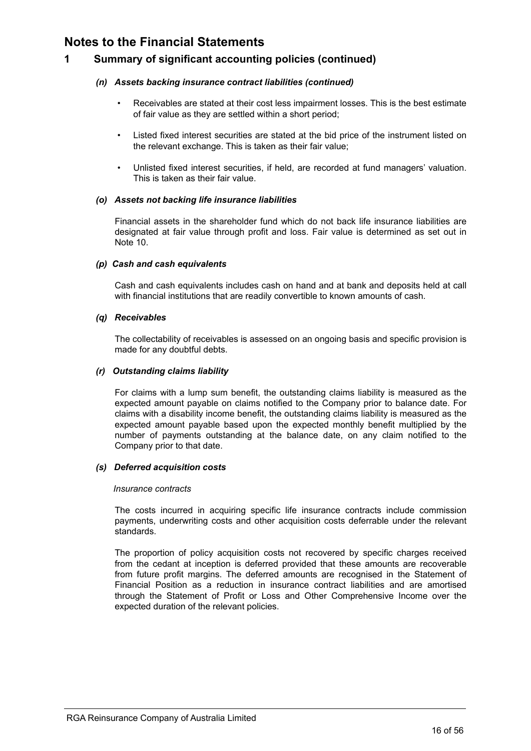### **1 Summary of significant accounting policies (continued)**

### *(n) Assets backing insurance contract liabilities (continued)*

- Receivables are stated at their cost less impairment losses. This is the best estimate of fair value as they are settled within a short period;
- Listed fixed interest securities are stated at the bid price of the instrument listed on the relevant exchange. This is taken as their fair value;
- Unlisted fixed interest securities, if held, are recorded at fund managers' valuation. This is taken as their fair value.

#### *(o) Assets not backing life insurance liabilities*

Financial assets in the shareholder fund which do not back life insurance liabilities are designated at fair value through profit and loss. Fair value is determined as set out in Note 10.

#### *(p) Cash and cash equivalents*

Cash and cash equivalents includes cash on hand and at bank and deposits held at call with financial institutions that are readily convertible to known amounts of cash.

#### *(q) Receivables*

The collectability of receivables is assessed on an ongoing basis and specific provision is made for any doubtful debts.

#### *(r) Outstanding claims liability*

For claims with a lump sum benefit, the outstanding claims liability is measured as the expected amount payable on claims notified to the Company prior to balance date. For claims with a disability income benefit, the outstanding claims liability is measured as the expected amount payable based upon the expected monthly benefit multiplied by the number of payments outstanding at the balance date, on any claim notified to the Company prior to that date.

#### *(s) Deferred acquisition costs*

#### *Insurance contracts*

The costs incurred in acquiring specific life insurance contracts include commission payments, underwriting costs and other acquisition costs deferrable under the relevant standards.

The proportion of policy acquisition costs not recovered by specific charges received from the cedant at inception is deferred provided that these amounts are recoverable from future profit margins. The deferred amounts are recognised in the Statement of Financial Position as a reduction in insurance contract liabilities and are amortised through the Statement of Profit or Loss and Other Comprehensive Income over the expected duration of the relevant policies.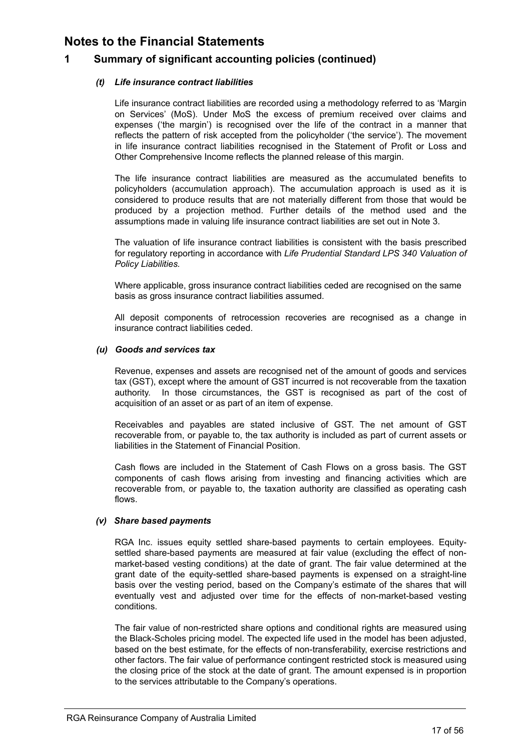### **1 Summary of significant accounting policies (continued)**

### *(t) Life insurance contract liabilities*

Life insurance contract liabilities are recorded using a methodology referred to as 'Margin on Services' (MoS). Under MoS the excess of premium received over claims and expenses ('the margin') is recognised over the life of the contract in a manner that reflects the pattern of risk accepted from the policyholder ('the service'). The movement in life insurance contract liabilities recognised in the Statement of Profit or Loss and Other Comprehensive Income reflects the planned release of this margin.

The life insurance contract liabilities are measured as the accumulated benefits to policyholders (accumulation approach). The accumulation approach is used as it is considered to produce results that are not materially different from those that would be produced by a projection method. Further details of the method used and the assumptions made in valuing life insurance contract liabilities are set out in Note 3.

The valuation of life insurance contract liabilities is consistent with the basis prescribed for regulatory reporting in accordance with *Life Prudential Standard LPS 340 Valuation of Policy Liabilities.* 

Where applicable, gross insurance contract liabilities ceded are recognised on the same basis as gross insurance contract liabilities assumed.

All deposit components of retrocession recoveries are recognised as a change in insurance contract liabilities ceded.

#### *(u) Goods and services tax*

Revenue, expenses and assets are recognised net of the amount of goods and services tax (GST), except where the amount of GST incurred is not recoverable from the taxation authority. In those circumstances, the GST is recognised as part of the cost of acquisition of an asset or as part of an item of expense.

Receivables and payables are stated inclusive of GST. The net amount of GST recoverable from, or payable to, the tax authority is included as part of current assets or liabilities in the Statement of Financial Position.

Cash flows are included in the Statement of Cash Flows on a gross basis. The GST components of cash flows arising from investing and financing activities which are recoverable from, or payable to, the taxation authority are classified as operating cash flows.

### *(v) Share based payments*

RGA Inc. issues equity settled share-based payments to certain employees. Equitysettled share-based payments are measured at fair value (excluding the effect of nonmarket-based vesting conditions) at the date of grant. The fair value determined at the grant date of the equity-settled share-based payments is expensed on a straight-line basis over the vesting period, based on the Company's estimate of the shares that will eventually vest and adjusted over time for the effects of non-market-based vesting conditions.

The fair value of non-restricted share options and conditional rights are measured using the Black-Scholes pricing model. The expected life used in the model has been adjusted, based on the best estimate, for the effects of non-transferability, exercise restrictions and other factors. The fair value of performance contingent restricted stock is measured using the closing price of the stock at the date of grant. The amount expensed is in proportion to the services attributable to the Company's operations.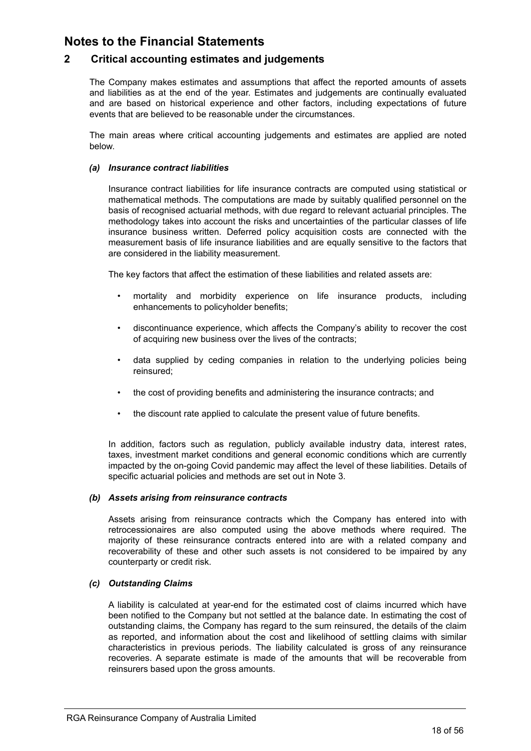### <span id="page-20-0"></span>**2 Critical accounting estimates and judgements**

The Company makes estimates and assumptions that affect the reported amounts of assets and liabilities as at the end of the year. Estimates and judgements are continually evaluated and are based on historical experience and other factors, including expectations of future events that are believed to be reasonable under the circumstances.

The main areas where critical accounting judgements and estimates are applied are noted below.

#### *(a) Insurance contract liabilities*

Insurance contract liabilities for life insurance contracts are computed using statistical or mathematical methods. The computations are made by suitably qualified personnel on the basis of recognised actuarial methods, with due regard to relevant actuarial principles. The methodology takes into account the risks and uncertainties of the particular classes of life insurance business written. Deferred policy acquisition costs are connected with the measurement basis of life insurance liabilities and are equally sensitive to the factors that are considered in the liability measurement.

The key factors that affect the estimation of these liabilities and related assets are:

- mortality and morbidity experience on life insurance products, including enhancements to policyholder benefits;
- discontinuance experience, which affects the Company's ability to recover the cost of acquiring new business over the lives of the contracts;
- data supplied by ceding companies in relation to the underlying policies being reinsured;
- the cost of providing benefits and administering the insurance contracts; and
- the discount rate applied to calculate the present value of future benefits.

In addition, factors such as regulation, publicly available industry data, interest rates, taxes, investment market conditions and general economic conditions which are currently impacted by the on-going Covid pandemic may affect the level of these liabilities. Details of specific actuarial policies and methods are set out in Note 3.

#### *(b) Assets arising from reinsurance contracts*

Assets arising from reinsurance contracts which the Company has entered into with retrocessionaires are also computed using the above methods where required. The majority of these reinsurance contracts entered into are with a related company and recoverability of these and other such assets is not considered to be impaired by any counterparty or credit risk.

#### *(c) Outstanding Claims*

A liability is calculated at year-end for the estimated cost of claims incurred which have been notified to the Company but not settled at the balance date. In estimating the cost of outstanding claims, the Company has regard to the sum reinsured, the details of the claim as reported, and information about the cost and likelihood of settling claims with similar characteristics in previous periods. The liability calculated is gross of any reinsurance recoveries. A separate estimate is made of the amounts that will be recoverable from reinsurers based upon the gross amounts.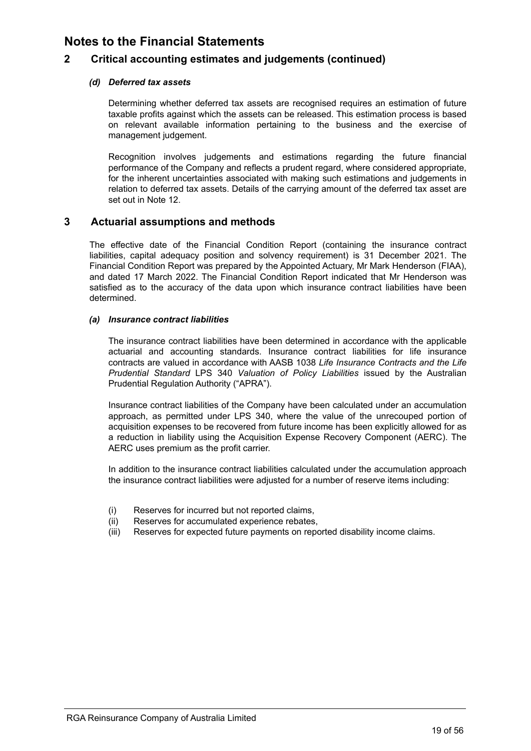### <span id="page-21-0"></span>**2 Critical accounting estimates and judgements (continued)**

### *(d) Deferred tax assets*

Determining whether deferred tax assets are recognised requires an estimation of future taxable profits against which the assets can be released. This estimation process is based on relevant available information pertaining to the business and the exercise of management judgement.

Recognition involves judgements and estimations regarding the future financial performance of the Company and reflects a prudent regard, where considered appropriate, for the inherent uncertainties associated with making such estimations and judgements in relation to deferred tax assets. Details of the carrying amount of the deferred tax asset are set out in Note 12.

### **3 Actuarial assumptions and methods**

The effective date of the Financial Condition Report (containing the insurance contract liabilities, capital adequacy position and solvency requirement) is 31 December 2021. The Financial Condition Report was prepared by the Appointed Actuary, Mr Mark Henderson (FIAA), and dated 17 March 2022. The Financial Condition Report indicated that Mr Henderson was satisfied as to the accuracy of the data upon which insurance contract liabilities have been determined.

#### *(a) Insurance contract liabilities*

The insurance contract liabilities have been determined in accordance with the applicable actuarial and accounting standards. Insurance contract liabilities for life insurance contracts are valued in accordance with AASB 1038 *Life Insurance Contracts and the Life Prudential Standard* LPS 340 *Valuation of Policy Liabilities* issued by the Australian Prudential Regulation Authority ("APRA").

Insurance contract liabilities of the Company have been calculated under an accumulation approach, as permitted under LPS 340, where the value of the unrecouped portion of acquisition expenses to be recovered from future income has been explicitly allowed for as a reduction in liability using the Acquisition Expense Recovery Component (AERC). The AERC uses premium as the profit carrier.

In addition to the insurance contract liabilities calculated under the accumulation approach the insurance contract liabilities were adjusted for a number of reserve items including:

- (i) Reserves for incurred but not reported claims,
- (ii) Reserves for accumulated experience rebates,
- (iii) Reserves for expected future payments on reported disability income claims.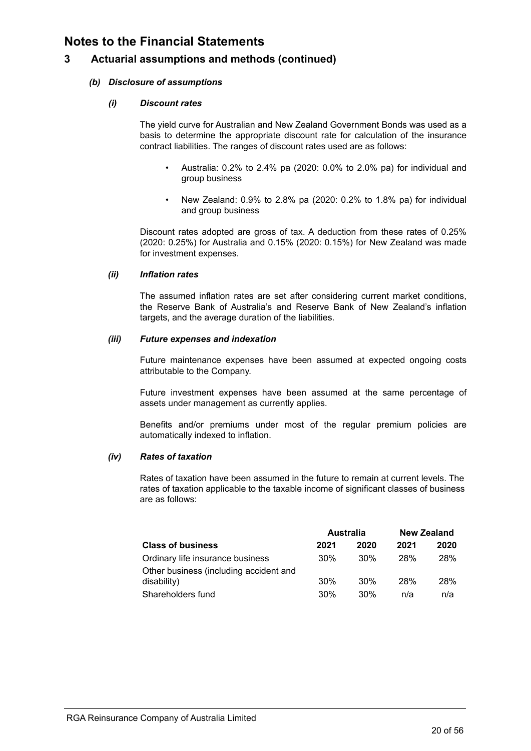### **3 Actuarial assumptions and methods (continued)**

### *(b) Disclosure of assumptions*

### *(i) Discount rates*

The yield curve for Australian and New Zealand Government Bonds was used as a basis to determine the appropriate discount rate for calculation of the insurance contract liabilities. The ranges of discount rates used are as follows:

- Australia: 0.2% to 2.4% pa (2020: 0.0% to 2.0% pa) for individual and group business
- New Zealand: 0.9% to 2.8% pa (2020: 0.2% to 1.8% pa) for individual and group business

Discount rates adopted are gross of tax. A deduction from these rates of 0.25% (2020: 0.25%) for Australia and 0.15% (2020: 0.15%) for New Zealand was made for investment expenses.

#### *(ii) Inflation rates*

The assumed inflation rates are set after considering current market conditions, the Reserve Bank of Australia's and Reserve Bank of New Zealand's inflation targets, and the average duration of the liabilities.

### *(iii) Future expenses and indexation*

Future maintenance expenses have been assumed at expected ongoing costs attributable to the Company.

Future investment expenses have been assumed at the same percentage of assets under management as currently applies.

Benefits and/or premiums under most of the regular premium policies are automatically indexed to inflation.

### *(iv) Rates of taxation*

Rates of taxation have been assumed in the future to remain at current levels. The rates of taxation applicable to the taxable income of significant classes of business are as follows:

|                                        | <b>Australia</b> |      | <b>New Zealand</b> |            |
|----------------------------------------|------------------|------|--------------------|------------|
| <b>Class of business</b>               | 2021             | 2020 | 2021               | 2020       |
| Ordinary life insurance business       | 30%              | 30%  | 28%                | <b>28%</b> |
| Other business (including accident and |                  |      |                    |            |
| disability)                            | 30%              | 30%  | 28%                | <b>28%</b> |
| Shareholders fund                      | 30%              | 30%  | n/a                | n/a        |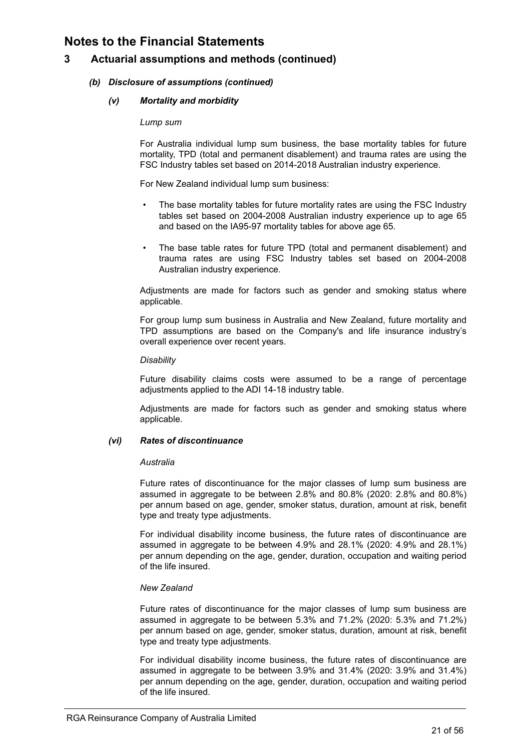### **3 Actuarial assumptions and methods (continued)**

### *(b) Disclosure of assumptions (continued)*

#### *(v) Mortality and morbidity*

#### *Lump sum*

For Australia individual lump sum business, the base mortality tables for future mortality, TPD (total and permanent disablement) and trauma rates are using the FSC Industry tables set based on 2014-2018 Australian industry experience.

For New Zealand individual lump sum business:

- The base mortality tables for future mortality rates are using the FSC Industry tables set based on 2004-2008 Australian industry experience up to age 65 and based on the IA95-97 mortality tables for above age 65.
- The base table rates for future TPD (total and permanent disablement) and trauma rates are using FSC Industry tables set based on 2004-2008 Australian industry experience.

Adjustments are made for factors such as gender and smoking status where applicable.

For group lump sum business in Australia and New Zealand, future mortality and TPD assumptions are based on the Company's and life insurance industry's overall experience over recent years.

#### *Disability*

Future disability claims costs were assumed to be a range of percentage adjustments applied to the ADI 14-18 industry table.

Adjustments are made for factors such as gender and smoking status where applicable.

### *(vi) Rates of discontinuance*

#### *Australia*

Future rates of discontinuance for the major classes of lump sum business are assumed in aggregate to be between 2.8% and 80.8% (2020: 2.8% and 80.8%) per annum based on age, gender, smoker status, duration, amount at risk, benefit type and treaty type adjustments.

For individual disability income business, the future rates of discontinuance are assumed in aggregate to be between 4.9% and 28.1% (2020: 4.9% and 28.1%) per annum depending on the age, gender, duration, occupation and waiting period of the life insured.

### *New Zealand*

Future rates of discontinuance for the major classes of lump sum business are assumed in aggregate to be between 5.3% and 71.2% (2020: 5.3% and 71.2%) per annum based on age, gender, smoker status, duration, amount at risk, benefit type and treaty type adjustments.

For individual disability income business, the future rates of discontinuance are assumed in aggregate to be between 3.9% and 31.4% (2020: 3.9% and 31.4%) per annum depending on the age, gender, duration, occupation and waiting period<br>of the life inaured of the life insured.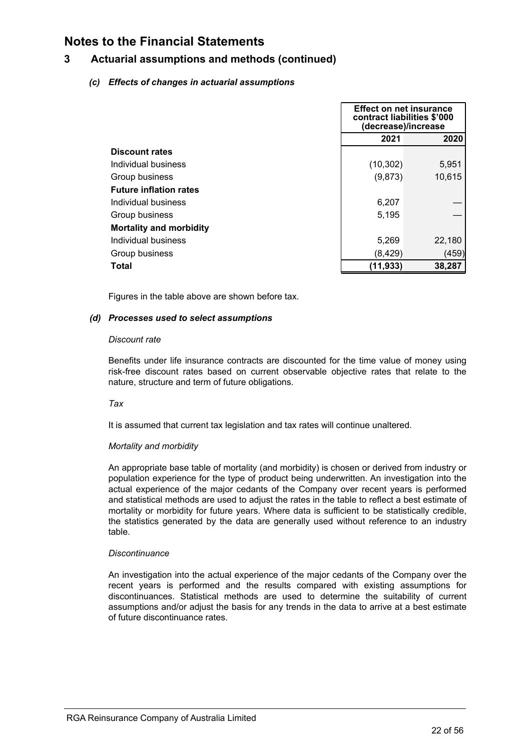### **3 Actuarial assumptions and methods (continued)**

### *(c) Effects of changes in actuarial assumptions*

|                                |           | <b>Effect on net insurance</b><br>contract liabilities \$'000<br>(decrease)/increase |  |
|--------------------------------|-----------|--------------------------------------------------------------------------------------|--|
|                                | 2021      | 2020                                                                                 |  |
| <b>Discount rates</b>          |           |                                                                                      |  |
| Individual business            | (10, 302) | 5,951                                                                                |  |
| Group business                 | (9,873)   | 10,615                                                                               |  |
| <b>Future inflation rates</b>  |           |                                                                                      |  |
| Individual business            | 6,207     |                                                                                      |  |
| Group business                 | 5,195     |                                                                                      |  |
| <b>Mortality and morbidity</b> |           |                                                                                      |  |
| Individual business            | 5,269     | 22,180                                                                               |  |
| Group business                 | (8, 429)  | (459)                                                                                |  |
| Total                          | (11, 933) | 38,287                                                                               |  |

Figures in the table above are shown before tax.

#### *(d) Processes used to select assumptions*

#### *Discount rate*

Benefits under life insurance contracts are discounted for the time value of money using risk-free discount rates based on current observable objective rates that relate to the nature, structure and term of future obligations.

### *Tax*

It is assumed that current tax legislation and tax rates will continue unaltered.

#### *Mortality and morbidity*

An appropriate base table of mortality (and morbidity) is chosen or derived from industry or population experience for the type of product being underwritten. An investigation into the actual experience of the major cedants of the Company over recent years is performed and statistical methods are used to adjust the rates in the table to reflect a best estimate of mortality or morbidity for future years. Where data is sufficient to be statistically credible, the statistics generated by the data are generally used without reference to an industry table.

### *Discontinuance*

An investigation into the actual experience of the major cedants of the Company over the recent years is performed and the results compared with existing assumptions for discontinuances. Statistical methods are used to determine the suitability of current assumptions and/or adjust the basis for any trends in the data to arrive at a best estimate of future discontinuance rates.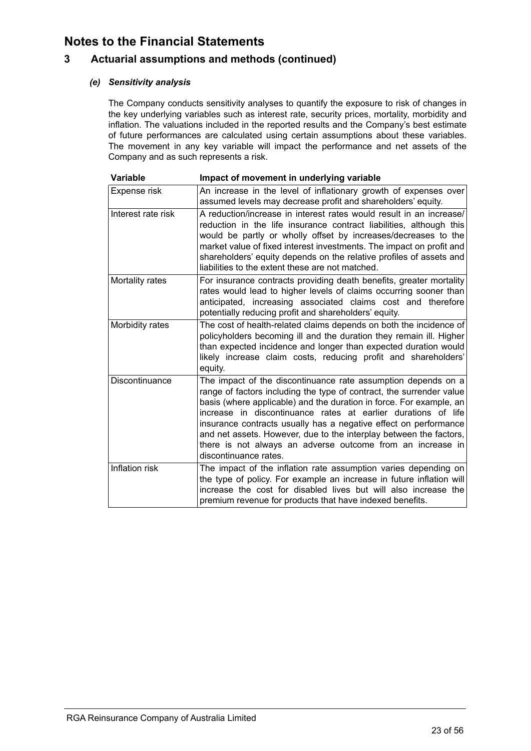### **3 Actuarial assumptions and methods (continued)**

### *(e) Sensitivity analysis*

The Company conducts sensitivity analyses to quantify the exposure to risk of changes in the key underlying variables such as interest rate, security prices, mortality, morbidity and inflation. The valuations included in the reported results and the Company's best estimate of future performances are calculated using certain assumptions about these variables. The movement in any key variable will impact the performance and net assets of the Company and as such represents a risk.

| <b>Variable</b>    | Impact of movement in underlying variable                                                                                                                                                                                                                                                                                                                                                                                                                                                                      |
|--------------------|----------------------------------------------------------------------------------------------------------------------------------------------------------------------------------------------------------------------------------------------------------------------------------------------------------------------------------------------------------------------------------------------------------------------------------------------------------------------------------------------------------------|
| Expense risk       | An increase in the level of inflationary growth of expenses over<br>assumed levels may decrease profit and shareholders' equity.                                                                                                                                                                                                                                                                                                                                                                               |
| Interest rate risk | A reduction/increase in interest rates would result in an increase/<br>reduction in the life insurance contract liabilities, although this<br>would be partly or wholly offset by increases/decreases to the<br>market value of fixed interest investments. The impact on profit and<br>shareholders' equity depends on the relative profiles of assets and<br>liabilities to the extent these are not matched.                                                                                                |
| Mortality rates    | For insurance contracts providing death benefits, greater mortality<br>rates would lead to higher levels of claims occurring sooner than<br>anticipated, increasing associated claims cost and therefore<br>potentially reducing profit and shareholders' equity.                                                                                                                                                                                                                                              |
| Morbidity rates    | The cost of health-related claims depends on both the incidence of<br>policyholders becoming ill and the duration they remain ill. Higher<br>than expected incidence and longer than expected duration would<br>likely increase claim costs, reducing profit and shareholders'<br>equity.                                                                                                                                                                                                                      |
| Discontinuance     | The impact of the discontinuance rate assumption depends on a<br>range of factors including the type of contract, the surrender value<br>basis (where applicable) and the duration in force. For example, an<br>increase in discontinuance rates at earlier durations of life<br>insurance contracts usually has a negative effect on performance<br>and net assets. However, due to the interplay between the factors,<br>there is not always an adverse outcome from an increase in<br>discontinuance rates. |
| Inflation risk     | The impact of the inflation rate assumption varies depending on<br>the type of policy. For example an increase in future inflation will<br>increase the cost for disabled lives but will also increase the<br>premium revenue for products that have indexed benefits.                                                                                                                                                                                                                                         |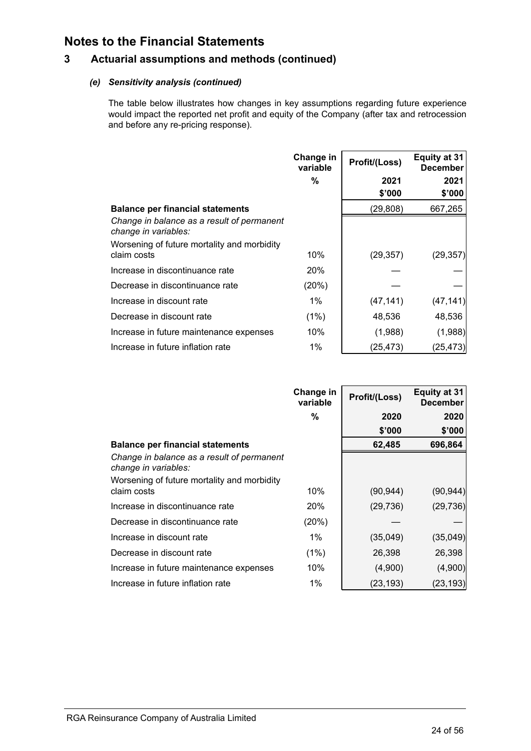### **3 Actuarial assumptions and methods (continued)**

### *(e) Sensitivity analysis (continued)*

The table below illustrates how changes in key assumptions regarding future experience would impact the reported net profit and equity of the Company (after tax and retrocession and before any re-pricing response).

|                                                                    | Change in<br>variable | Profit/(Loss) | <b>Equity at 31</b><br><b>December</b> |
|--------------------------------------------------------------------|-----------------------|---------------|----------------------------------------|
|                                                                    | %                     | 2021          | 2021                                   |
|                                                                    |                       | \$'000        | \$'000                                 |
| <b>Balance per financial statements</b>                            |                       | (29, 808)     | 667,265                                |
| Change in balance as a result of permanent<br>change in variables: |                       |               |                                        |
| Worsening of future mortality and morbidity<br>claim costs         | 10%                   | (29, 357)     | (29, 357)                              |
| Increase in discontinuance rate                                    | <b>20%</b>            |               |                                        |
| Decrease in discontinuance rate                                    | (20%)                 |               |                                        |
| Increase in discount rate                                          | 1%                    | (47, 141)     | (47, 141)                              |
| Decrease in discount rate                                          | (1%)                  | 48,536        | 48,536                                 |
| Increase in future maintenance expenses                            | 10%                   | (1,988)       | (1,988)                                |
| Increase in future inflation rate                                  | $1\%$                 | (25,473)      | (25,473)                               |

|                                                                    | Change in<br>variable | Profit/(Loss) | <b>Equity at 31</b><br><b>December</b> |
|--------------------------------------------------------------------|-----------------------|---------------|----------------------------------------|
|                                                                    | %                     | 2020          | 2020                                   |
|                                                                    |                       | \$'000        | \$'000                                 |
| <b>Balance per financial statements</b>                            |                       | 62,485        | 696,864                                |
| Change in balance as a result of permanent<br>change in variables: |                       |               |                                        |
| Worsening of future mortality and morbidity<br>claim costs         | 10%                   | (90, 944)     | (90, 944)                              |
| Increase in discontinuance rate                                    | 20%                   | (29, 736)     | (29, 736)                              |
| Decrease in discontinuance rate                                    | (20%)                 |               |                                        |
| Increase in discount rate                                          | $1\%$                 | (35,049)      | (35,049)                               |
| Decrease in discount rate                                          | (1%)                  | 26,398        | 26,398                                 |
| Increase in future maintenance expenses                            | 10%                   | (4,900)       | (4,900)                                |
| Increase in future inflation rate                                  | $1\%$                 | (23,193)      | (23,193)                               |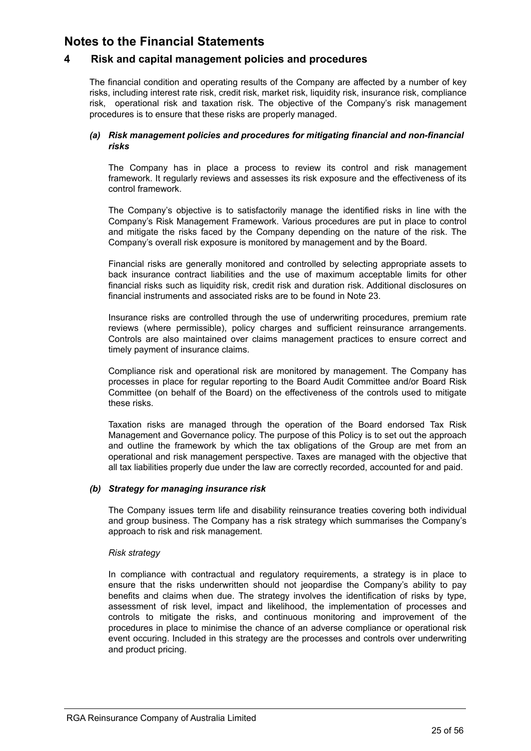### <span id="page-27-0"></span>**4 Risk and capital management policies and procedures**

The financial condition and operating results of the Company are affected by a number of key risks, including interest rate risk, credit risk, market risk, liquidity risk, insurance risk, compliance risk, operational risk and taxation risk. The objective of the Company's risk management procedures is to ensure that these risks are properly managed.

### *(a) Risk management policies and procedures for mitigating financial and non-financial risks*

The Company has in place a process to review its control and risk management framework. It regularly reviews and assesses its risk exposure and the effectiveness of its control framework.

The Company's objective is to satisfactorily manage the identified risks in line with the Company's Risk Management Framework. Various procedures are put in place to control and mitigate the risks faced by the Company depending on the nature of the risk. The Company's overall risk exposure is monitored by management and by the Board.

Financial risks are generally monitored and controlled by selecting appropriate assets to back insurance contract liabilities and the use of maximum acceptable limits for other financial risks such as liquidity risk, credit risk and duration risk. Additional disclosures on financial instruments and associated risks are to be found in Note 23.

Insurance risks are controlled through the use of underwriting procedures, premium rate reviews (where permissible), policy charges and sufficient reinsurance arrangements. Controls are also maintained over claims management practices to ensure correct and timely payment of insurance claims.

Compliance risk and operational risk are monitored by management. The Company has processes in place for regular reporting to the Board Audit Committee and/or Board Risk Committee (on behalf of the Board) on the effectiveness of the controls used to mitigate these risks.

Taxation risks are managed through the operation of the Board endorsed Tax Risk Management and Governance policy. The purpose of this Policy is to set out the approach and outline the framework by which the tax obligations of the Group are met from an operational and risk management perspective. Taxes are managed with the objective that all tax liabilities properly due under the law are correctly recorded, accounted for and paid.

### *(b) Strategy for managing insurance risk*

The Company issues term life and disability reinsurance treaties covering both individual and group business. The Company has a risk strategy which summarises the Company's approach to risk and risk management.

### *Risk strategy*

In compliance with contractual and regulatory requirements, a strategy is in place to ensure that the risks underwritten should not jeopardise the Company's ability to pay benefits and claims when due. The strategy involves the identification of risks by type, assessment of risk level, impact and likelihood, the implementation of processes and controls to mitigate the risks, and continuous monitoring and improvement of the procedures in place to minimise the chance of an adverse compliance or operational risk event occuring. Included in this strategy are the processes and controls over underwriting and product pricing.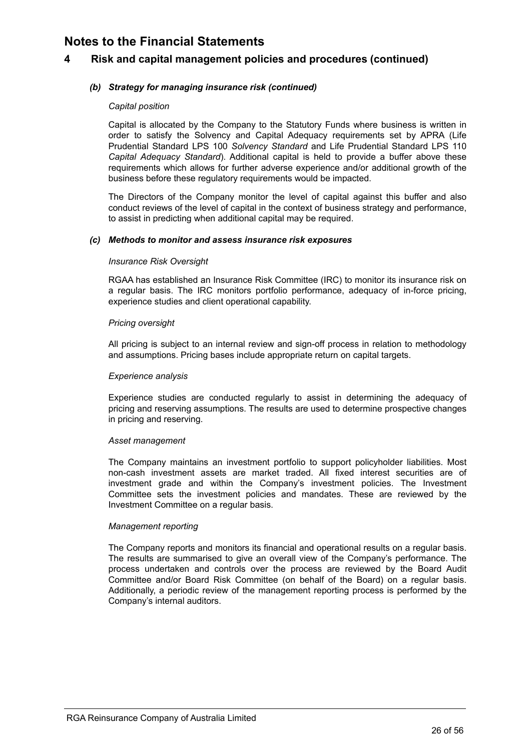### **4 Risk and capital management policies and procedures (continued)**

### *(b) Strategy for managing insurance risk (continued)*

#### *Capital position*

Capital is allocated by the Company to the Statutory Funds where business is written in order to satisfy the Solvency and Capital Adequacy requirements set by APRA (Life Prudential Standard LPS 100 *Solvency Standard* and Life Prudential Standard LPS 110 *Capital Adequacy Standard*). Additional capital is held to provide a buffer above these requirements which allows for further adverse experience and/or additional growth of the business before these regulatory requirements would be impacted.

The Directors of the Company monitor the level of capital against this buffer and also conduct reviews of the level of capital in the context of business strategy and performance, to assist in predicting when additional capital may be required.

#### *(c) Methods to monitor and assess insurance risk exposures*

#### *Insurance Risk Oversight*

RGAA has established an Insurance Risk Committee (IRC) to monitor its insurance risk on a regular basis. The IRC monitors portfolio performance, adequacy of in-force pricing, experience studies and client operational capability.

#### *Pricing oversight*

All pricing is subject to an internal review and sign-off process in relation to methodology and assumptions. Pricing bases include appropriate return on capital targets.

#### *Experience analysis*

Experience studies are conducted regularly to assist in determining the adequacy of pricing and reserving assumptions. The results are used to determine prospective changes in pricing and reserving.

#### *Asset management*

The Company maintains an investment portfolio to support policyholder liabilities. Most non-cash investment assets are market traded. All fixed interest securities are of investment grade and within the Company's investment policies. The Investment Committee sets the investment policies and mandates. These are reviewed by the Investment Committee on a regular basis.

#### *Management reporting*

The Company reports and monitors its financial and operational results on a regular basis. The results are summarised to give an overall view of the Company's performance. The process undertaken and controls over the process are reviewed by the Board Audit Committee and/or Board Risk Committee (on behalf of the Board) on a regular basis. Additionally, a periodic review of the management reporting process is performed by the Company's internal auditors.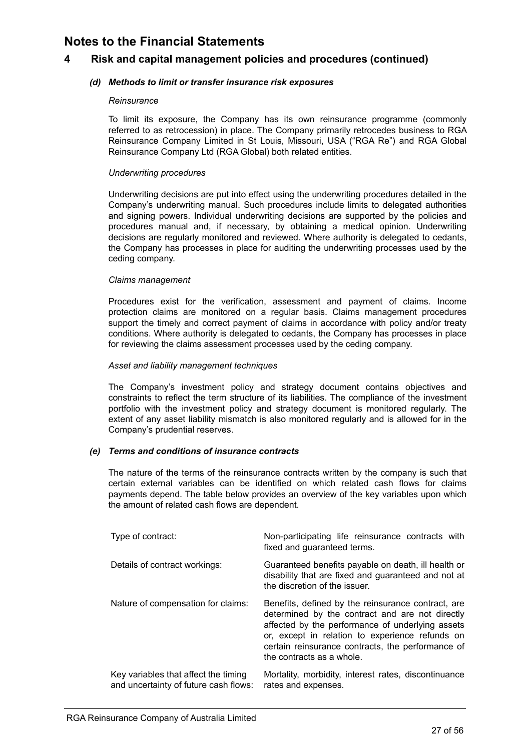### **4 Risk and capital management policies and procedures (continued)**

### *(d) Methods to limit or transfer insurance risk exposures*

#### *Reinsurance*

To limit its exposure, the Company has its own reinsurance programme (commonly referred to as retrocession) in place. The Company primarily retrocedes business to RGA Reinsurance Company Limited in St Louis, Missouri, USA ("RGA Re") and RGA Global Reinsurance Company Ltd (RGA Global) both related entities.

#### *Underwriting procedures*

Underwriting decisions are put into effect using the underwriting procedures detailed in the Company's underwriting manual. Such procedures include limits to delegated authorities and signing powers. Individual underwriting decisions are supported by the policies and procedures manual and, if necessary, by obtaining a medical opinion. Underwriting decisions are regularly monitored and reviewed. Where authority is delegated to cedants, the Company has processes in place for auditing the underwriting processes used by the ceding company.

#### *Claims management*

Procedures exist for the verification, assessment and payment of claims. Income protection claims are monitored on a regular basis. Claims management procedures support the timely and correct payment of claims in accordance with policy and/or treaty conditions. Where authority is delegated to cedants, the Company has processes in place for reviewing the claims assessment processes used by the ceding company.

#### *Asset and liability management techniques*

The Company's investment policy and strategy document contains objectives and constraints to reflect the term structure of its liabilities. The compliance of the investment portfolio with the investment policy and strategy document is monitored regularly. The extent of any asset liability mismatch is also monitored regularly and is allowed for in the Company's prudential reserves.

### *(e) Terms and conditions of insurance contracts*

The nature of the terms of the reinsurance contracts written by the company is such that certain external variables can be identified on which related cash flows for claims payments depend. The table below provides an overview of the key variables upon which the amount of related cash flows are dependent.

| Type of contract:                                                             | Non-participating life reinsurance contracts with<br>fixed and guaranteed terms.                                                                                                                                                                                                               |
|-------------------------------------------------------------------------------|------------------------------------------------------------------------------------------------------------------------------------------------------------------------------------------------------------------------------------------------------------------------------------------------|
| Details of contract workings:                                                 | Guaranteed benefits payable on death, ill health or<br>disability that are fixed and guaranteed and not at<br>the discretion of the issuer.                                                                                                                                                    |
| Nature of compensation for claims:                                            | Benefits, defined by the reinsurance contract, are<br>determined by the contract and are not directly<br>affected by the performance of underlying assets<br>or, except in relation to experience refunds on<br>certain reinsurance contracts, the performance of<br>the contracts as a whole. |
| Key variables that affect the timing<br>and uncertainty of future cash flows: | Mortality, morbidity, interest rates, discontinuance<br>rates and expenses.                                                                                                                                                                                                                    |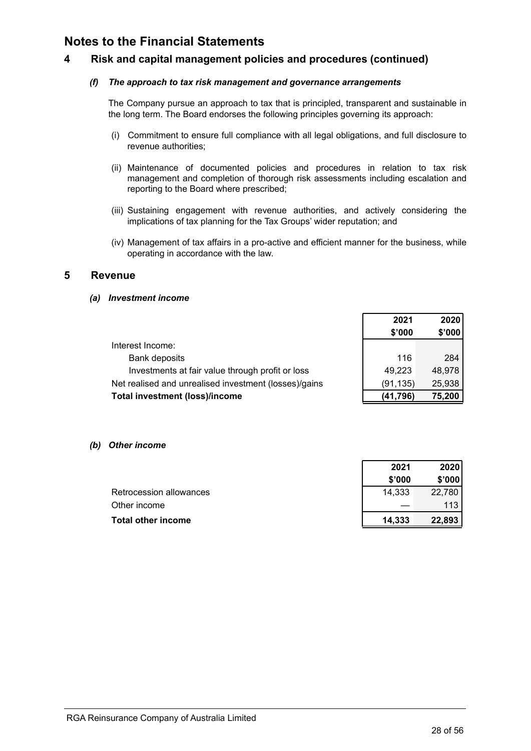### <span id="page-30-0"></span>**4 Risk and capital management policies and procedures (continued)**

#### *(f) The approach to tax risk management and governance arrangements*

The Company pursue an approach to tax that is principled, transparent and sustainable in the long term. The Board endorses the following principles governing its approach:

- (i) Commitment to ensure full compliance with all legal obligations, and full disclosure to revenue authorities;
- (ii) Maintenance of documented policies and procedures in relation to tax risk management and completion of thorough risk assessments including escalation and reporting to the Board where prescribed;
- (iii) Sustaining engagement with revenue authorities, and actively considering the implications of tax planning for the Tax Groups' wider reputation; and
- (iv) Management of tax affairs in a pro-active and efficient manner for the business, while operating in accordance with the law.

### **5 Revenue**

*(a) Investment income*

|                                                       | 2021      | 2020   |
|-------------------------------------------------------|-----------|--------|
|                                                       | \$'000    | \$'000 |
| Interest Income:                                      |           |        |
| Bank deposits                                         | 116       | 284    |
| Investments at fair value through profit or loss      | 49,223    | 48,978 |
| Net realised and unrealised investment (losses)/gains | (91, 135) | 25,938 |
| Total investment (loss)/income                        | (41,796)  | 75,200 |

*(b) Other income*

|                         | ---    | ----   |
|-------------------------|--------|--------|
|                         | \$'000 | \$'000 |
| Retrocession allowances | 14.333 | 22.780 |
| Other income            |        | 113.   |
| Total other income      | 14.333 | 22,893 |
|                         |        |        |

**2021 2020**

 $\Gamma$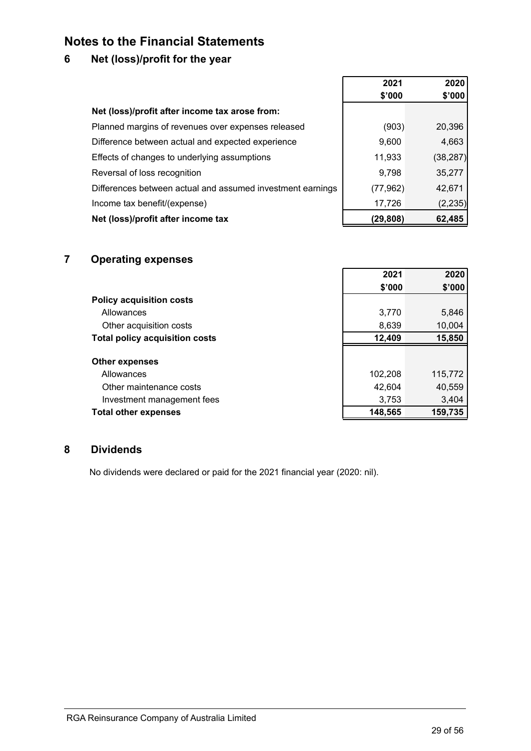### <span id="page-31-0"></span>**6 Net (loss)/profit for the year**

|                                                            | 2021      | 2020      |
|------------------------------------------------------------|-----------|-----------|
|                                                            | \$'000    | \$'000    |
| Net (loss)/profit after income tax arose from:             |           |           |
| Planned margins of revenues over expenses released         | (903)     | 20,396    |
| Difference between actual and expected experience          | 9,600     | 4,663     |
| Effects of changes to underlying assumptions               | 11,933    | (38, 287) |
| Reversal of loss recognition                               | 9,798     | 35,277    |
| Differences between actual and assumed investment earnings | (77, 962) | 42,671    |
| Income tax benefit/(expense)                               | 17,726    | (2, 235)  |
| Net (loss)/profit after income tax                         | (29, 808) | 62,485    |

### **7 Operating expenses**

|                                       | 2021    | 2020    |
|---------------------------------------|---------|---------|
|                                       | \$'000  | \$'000  |
| <b>Policy acquisition costs</b>       |         |         |
| Allowances                            | 3,770   | 5,846   |
| Other acquisition costs               | 8,639   | 10,004  |
| <b>Total policy acquisition costs</b> | 12,409  | 15,850  |
|                                       |         |         |
| <b>Other expenses</b>                 |         |         |
| Allowances                            | 102,208 | 115,772 |
| Other maintenance costs               | 42,604  | 40,559  |
| Investment management fees            | 3,753   | 3,404   |
| <b>Total other expenses</b>           | 148,565 | 159,735 |

h

### **8 Dividends**

No dividends were declared or paid for the 2021 financial year (2020: nil).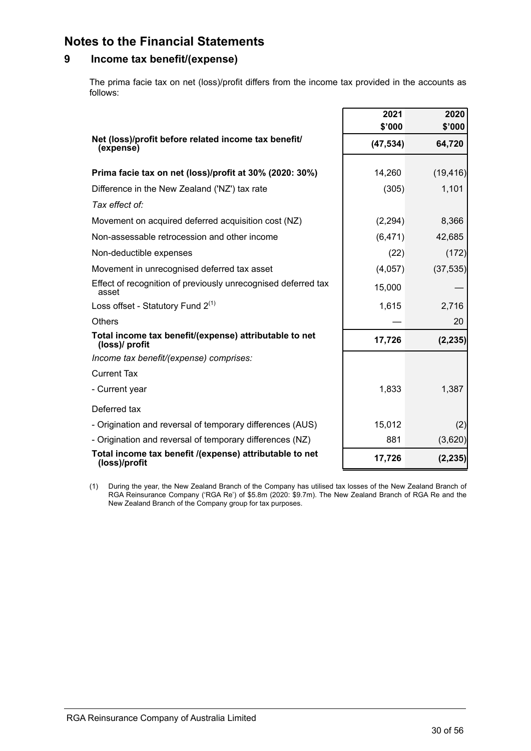### <span id="page-32-0"></span>**9 Income tax benefit/(expense)**

The prima facie tax on net (loss)/profit differs from the income tax provided in the accounts as follows:

|                                                                          | 2021<br>\$'000 | 2020<br>\$'000 |
|--------------------------------------------------------------------------|----------------|----------------|
| Net (loss)/profit before related income tax benefit/<br>(expense)        | (47, 534)      | 64,720         |
| Prima facie tax on net (loss)/profit at 30% (2020: 30%)                  | 14,260         | (19, 416)      |
| Difference in the New Zealand ('NZ') tax rate                            | (305)          | 1,101          |
| Tax effect of:                                                           |                |                |
| Movement on acquired deferred acquisition cost (NZ)                      | (2, 294)       | 8,366          |
| Non-assessable retrocession and other income                             | (6, 471)       | 42,685         |
| Non-deductible expenses                                                  | (22)           | (172)          |
| Movement in unrecognised deferred tax asset                              | (4,057)        | (37, 535)      |
| Effect of recognition of previously unrecognised deferred tax<br>asset   | 15,000         |                |
| Loss offset - Statutory Fund $2^{(1)}$                                   | 1,615          | 2,716          |
| Others                                                                   |                | 20             |
| Total income tax benefit/(expense) attributable to net<br>(loss)/ profit | 17,726         | (2, 235)       |
| Income tax benefit/(expense) comprises:                                  |                |                |
| <b>Current Tax</b>                                                       |                |                |
| - Current year                                                           | 1,833          | 1,387          |
| Deferred tax                                                             |                |                |
| - Origination and reversal of temporary differences (AUS)                | 15,012         | (2)            |
| - Origination and reversal of temporary differences (NZ)                 | 881            | (3,620)        |
| Total income tax benefit /(expense) attributable to net<br>(loss)/profit | 17,726         | (2, 235)       |

(1) During the year, the New Zealand Branch of the Company has utilised tax losses of the New Zealand Branch of RGA Reinsurance Company ('RGA Re') of \$5.8m (2020: \$9.7m). The New Zealand Branch of RGA Re and the New Zealand Branch of the Company group for tax purposes.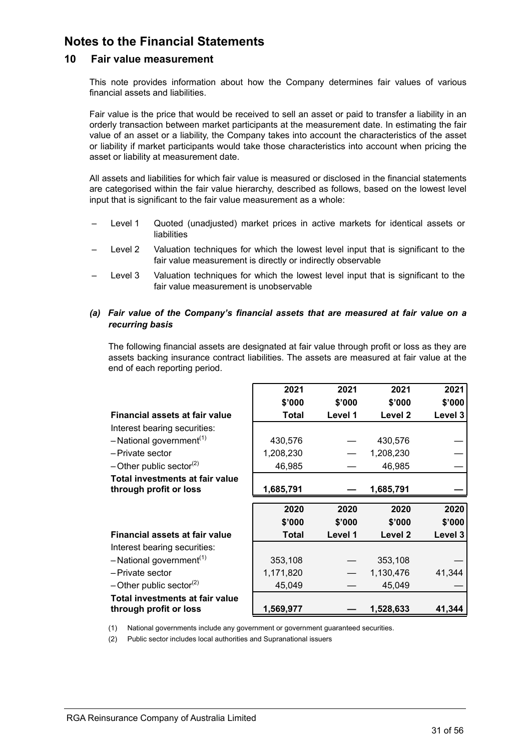### **10 Fair value measurement**

This note provides information about how the Company determines fair values of various financial assets and liabilities.

Fair value is the price that would be received to sell an asset or paid to transfer a liability in an orderly transaction between market participants at the measurement date. In estimating the fair value of an asset or a liability, the Company takes into account the characteristics of the asset or liability if market participants would take those characteristics into account when pricing the asset or liability at measurement date.

All assets and liabilities for which fair value is measured or disclosed in the financial statements are categorised within the fair value hierarchy, described as follows, based on the lowest level input that is significant to the fair value measurement as a whole:

- Level 1 Quoted (unadjusted) market prices in active markets for identical assets or liabilities
- Level 2 Valuation techniques for which the lowest level input that is significant to the fair value measurement is directly or indirectly observable
- Level 3 Valuation techniques for which the lowest level input that is significant to the fair value measurement is unobservable
- *(a) Fair value of the Company's financial assets that are measured at fair value on a recurring basis*

The following financial assets are designated at fair value through profit or loss as they are assets backing insurance contract liabilities. The assets are measured at fair value at the end of each reporting period.

|                                        | 2021      | 2021    | 2021               | 2021    |
|----------------------------------------|-----------|---------|--------------------|---------|
|                                        | \$'000    | \$'000  | \$'000             | \$'000  |
| Financial assets at fair value         | Total     | Level 1 | Level 2            | Level 3 |
| Interest bearing securities:           |           |         |                    |         |
| $-$ National government <sup>(1)</sup> | 430,576   |         | 430,576            |         |
| -Private sector                        | 1,208,230 |         | 1,208,230          |         |
| $-$ Other public sector <sup>(2)</sup> | 46,985    |         | 46,985             |         |
| Total investments at fair value        |           |         |                    |         |
| through profit or loss                 | 1,685,791 |         | 1,685,791          |         |
|                                        |           |         |                    |         |
|                                        | 2020      | 2020    | 2020               | 2020    |
|                                        | \$'000    | \$'000  | \$'000             | \$'000  |
| Financial assets at fair value         | Total     | Level 1 | Level <sub>2</sub> | Level 3 |
| Interest bearing securities:           |           |         |                    |         |
| $-$ National government <sup>(1)</sup> | 353,108   |         | 353,108            |         |
| -Private sector                        | 1,171,820 |         | 1,130,476          | 41,344  |
| $-$ Other public sector <sup>(2)</sup> | 45,049    |         | 45,049             |         |
| Total investments at fair value        |           |         |                    |         |

(1) National governments include any government or government guaranteed securities.

(2) Public sector includes local authorities and Supranational issuers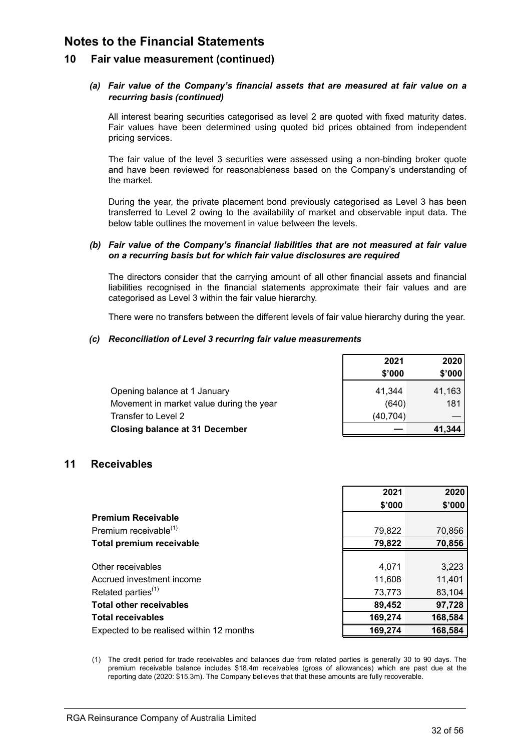### <span id="page-34-0"></span>**10 Fair value measurement (continued)**

### *(a) Fair value of the Company's financial assets that are measured at fair value on a recurring basis (continued)*

 All interest bearing securities categorised as level 2 are quoted with fixed maturity dates. Fair values have been determined using quoted bid prices obtained from independent pricing services.

The fair value of the level 3 securities were assessed using a non-binding broker quote and have been reviewed for reasonableness based on the Company's understanding of the market.

During the year, the private placement bond previously categorised as Level 3 has been transferred to Level 2 owing to the availability of market and observable input data. The below table outlines the movement in value between the levels.

#### *(b) Fair value of the Company's financial liabilities that are not measured at fair value on a recurring basis but for which fair value disclosures are required*

The directors consider that the carrying amount of all other financial assets and financial liabilities recognised in the financial statements approximate their fair values and are categorised as Level 3 within the fair value hierarchy.

There were no transfers between the different levels of fair value hierarchy during the year.

#### *(c) Reconciliation of Level 3 recurring fair value measurements*

|                                          | 2021      | 2020   |
|------------------------------------------|-----------|--------|
|                                          | \$'000    | \$'000 |
| Opening balance at 1 January             | 41.344    | 41,163 |
| Movement in market value during the year | (640)     | 181    |
| Transfer to Level 2                      | (40, 704) |        |
| <b>Closing balance at 31 December</b>    |           | 41.344 |

### **11 Receivables**

| \$'000<br><b>Premium Receivable</b><br>Premium receivable <sup>(1)</sup><br>79,822 |                                 | 2021   | 2020    |
|------------------------------------------------------------------------------------|---------------------------------|--------|---------|
|                                                                                    |                                 |        | \$'000  |
|                                                                                    |                                 |        |         |
|                                                                                    |                                 |        | 70,856  |
|                                                                                    | <b>Total premium receivable</b> | 79,822 | 70,856  |
|                                                                                    |                                 |        |         |
| Other receivables<br>4,071                                                         |                                 |        | 3,223   |
| Accrued investment income<br>11,608                                                |                                 |        | 11,401  |
| Related parties $(1)$<br>73,773                                                    |                                 |        | 83,104  |
| <b>Total other receivables</b><br>89,452                                           |                                 |        | 97,728  |
| 169,274<br><b>Total receivables</b>                                                |                                 |        | 168,584 |
| 169,274<br>Expected to be realised within 12 months                                |                                 |        | 168,584 |

(1) The credit period for trade receivables and balances due from related parties is generally 30 to 90 days. The premium receivable balance includes \$18.4m receivables (gross of allowances) which are past due at the reporting date (2020: \$15.3m). The Company believes that that these amounts are fully recoverable.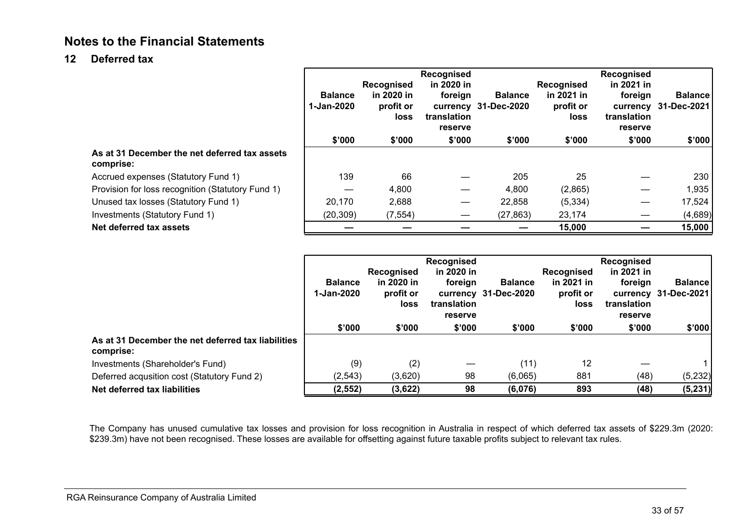### <span id="page-35-0"></span>**12 Deferred tax**

|                                                            | <b>Balance</b><br>1-Jan-2020 | <b>Recognised</b><br>in 2020 in<br>profit or<br>loss | Recognised<br>in 2020 in<br>foreign<br>translation<br>reserve | <b>Balance</b><br>currency 31-Dec-2020 | Recognised<br>in 2021 in<br>profit or<br>loss | <b>Recognised</b><br>in 2021 in<br>foreign<br>translation<br>reserve | <b>Balance</b><br>currency 31-Dec-2021 |
|------------------------------------------------------------|------------------------------|------------------------------------------------------|---------------------------------------------------------------|----------------------------------------|-----------------------------------------------|----------------------------------------------------------------------|----------------------------------------|
|                                                            | \$'000                       | \$'000                                               | \$'000                                                        | \$'000                                 | \$'000                                        | \$'000                                                               | \$'000                                 |
| As at 31 December the net deferred tax assets<br>comprise: |                              |                                                      |                                                               |                                        |                                               |                                                                      |                                        |
| Accrued expenses (Statutory Fund 1)                        | 139                          | 66                                                   |                                                               | 205                                    | 25                                            |                                                                      | 230                                    |
| Provision for loss recognition (Statutory Fund 1)          |                              | 4,800                                                |                                                               | 4,800                                  | (2,865)                                       |                                                                      | 1,935                                  |
| Unused tax losses (Statutory Fund 1)                       | 20,170                       | 2,688                                                |                                                               | 22,858                                 | (5, 334)                                      |                                                                      | 17,524                                 |
| Investments (Statutory Fund 1)                             | (20, 309)                    | (7, 554)                                             |                                                               | (27, 863)                              | 23,174                                        |                                                                      | (4,689)                                |
| Net deferred tax assets                                    |                              |                                                      |                                                               |                                        | 15,000                                        |                                                                      | 15,000                                 |

|                                                                 | <b>Balance</b><br>1-Jan-2020 | Recognised<br>in 2020 in<br>profit or<br>loss | Recognised<br>in 2020 in<br>foreign<br>translation<br>reserve | <b>Balance</b><br>currency 31-Dec-2020 | Recognised<br>in 2021 in<br>profit or<br><b>loss</b> | Recognised<br>in 2021 in<br>foreign<br>translation<br>reserve | <b>Balance</b><br>currency 31-Dec-2021 |
|-----------------------------------------------------------------|------------------------------|-----------------------------------------------|---------------------------------------------------------------|----------------------------------------|------------------------------------------------------|---------------------------------------------------------------|----------------------------------------|
|                                                                 | \$'000                       | \$'000                                        | \$'000                                                        | \$'000                                 | \$'000                                               | \$'000                                                        | \$'000                                 |
| As at 31 December the net deferred tax liabilities<br>comprise: |                              |                                               |                                                               |                                        |                                                      |                                                               |                                        |
| Investments (Shareholder's Fund)                                | (9)                          | (2)                                           |                                                               | (11)                                   | 12                                                   |                                                               |                                        |
| Deferred acqusition cost (Statutory Fund 2)                     | (2, 543)                     | (3,620)                                       | 98                                                            | (6,065)                                | 881                                                  | (48)                                                          | (5,232)                                |
| Net deferred tax liabilities                                    | (2, 552)                     | (3,622)                                       | 98                                                            | (6,076)                                | 893                                                  | (48)                                                          | (5, 231)                               |

The Company has unused cumulative tax losses and provision for loss recognition in Australia in respect of which deferred tax assets of \$229.3m (2020: \$239.3m) have not been recognised. These losses are available for offsetting against future taxable profits subject to relevant tax rules.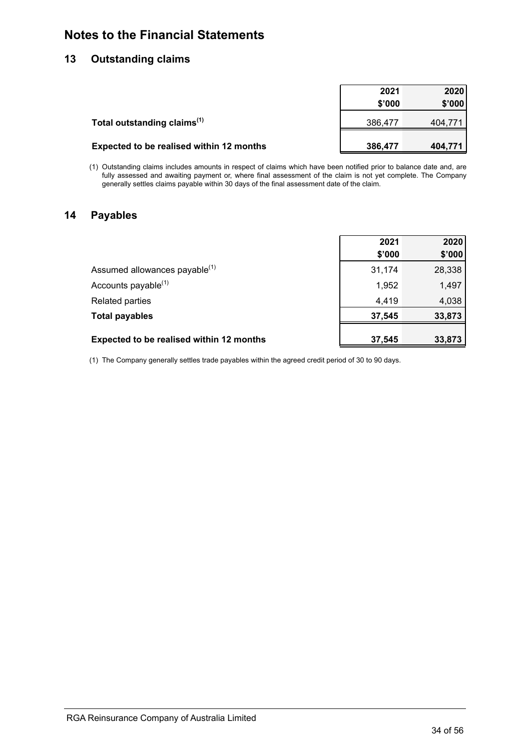### <span id="page-36-0"></span>**13 Outstanding claims**

|                                                 | 2021    | 2020    |
|-------------------------------------------------|---------|---------|
|                                                 | \$'000  | \$'000  |
| Total outstanding claims <sup>(1)</sup>         | 386,477 | 404.771 |
| <b>Expected to be realised within 12 months</b> | 386,477 | 404,771 |

(1) Outstanding claims includes amounts in respect of claims which have been notified prior to balance date and, are fully assessed and awaiting payment or, where final assessment of the claim is not yet complete. The Company generally settles claims payable within 30 days of the final assessment date of the claim.

### **14 Payables**

|                                                 | 2021   | 2020   |
|-------------------------------------------------|--------|--------|
|                                                 | \$'000 | \$'000 |
| Assumed allowances payable <sup>(1)</sup>       | 31,174 | 28,338 |
| Accounts payable <sup>(1)</sup>                 | 1,952  | 1,497  |
| Related parties                                 | 4,419  | 4,038  |
| <b>Total payables</b>                           | 37,545 | 33,873 |
| <b>Expected to be realised within 12 months</b> | 37,545 | 33,873 |

(1) The Company generally settles trade payables within the agreed credit period of 30 to 90 days.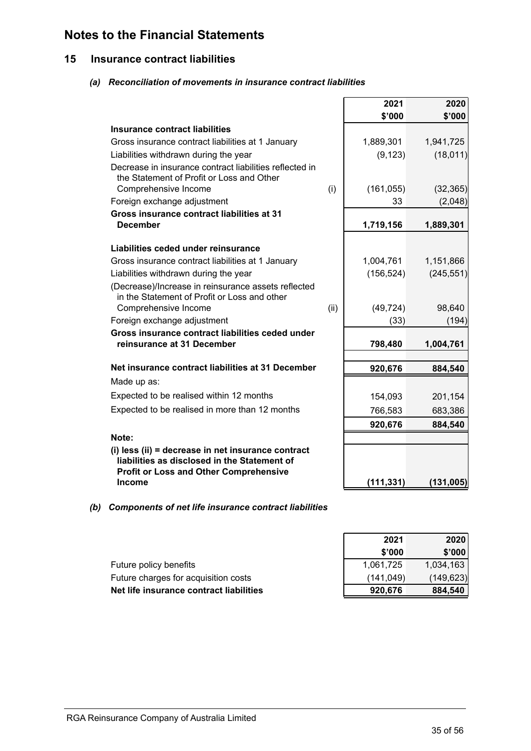### <span id="page-37-0"></span>**15 Insurance contract liabilities**

### *(a) Reconciliation of movements in insurance contract liabilities*

|                                                                                                                                                     |      | 2021             | 2020       |
|-----------------------------------------------------------------------------------------------------------------------------------------------------|------|------------------|------------|
|                                                                                                                                                     |      | \$'000           | \$'000     |
| Insurance contract liabilities                                                                                                                      |      |                  |            |
| Gross insurance contract liabilities at 1 January                                                                                                   |      | 1,889,301        | 1,941,725  |
| Liabilities withdrawn during the year                                                                                                               |      | (9, 123)         | (18, 011)  |
| Decrease in insurance contract liabilities reflected in<br>the Statement of Profit or Loss and Other                                                |      |                  |            |
| Comprehensive Income<br>Foreign exchange adjustment                                                                                                 | (i)  | (161, 055)<br>33 | (32, 365)  |
| Gross insurance contract liabilities at 31                                                                                                          |      |                  | (2,048)    |
| <b>December</b>                                                                                                                                     |      | 1,719,156        | 1,889,301  |
| Liabilities ceded under reinsurance                                                                                                                 |      |                  |            |
| Gross insurance contract liabilities at 1 January                                                                                                   |      | 1,004,761        | 1,151,866  |
| Liabilities withdrawn during the year                                                                                                               |      | (156, 524)       | (245, 551) |
| (Decrease)/Increase in reinsurance assets reflected<br>in the Statement of Profit or Loss and other                                                 |      |                  |            |
| Comprehensive Income                                                                                                                                | (ii) | (49, 724)        | 98,640     |
| Foreign exchange adjustment<br>Gross insurance contract liabilities ceded under                                                                     |      | (33)             | (194)      |
| reinsurance at 31 December                                                                                                                          |      | 798,480          | 1,004,761  |
| Net insurance contract liabilities at 31 December                                                                                                   |      | 920,676          | 884,540    |
| Made up as:                                                                                                                                         |      |                  |            |
|                                                                                                                                                     |      |                  |            |
| Expected to be realised within 12 months                                                                                                            |      | 154,093          | 201,154    |
| Expected to be realised in more than 12 months                                                                                                      |      | 766,583          | 683,386    |
|                                                                                                                                                     |      | 920,676          | 884,540    |
| Note:                                                                                                                                               |      |                  |            |
| (i) less (ii) = decrease in net insurance contract<br>liabilities as disclosed in the Statement of<br><b>Profit or Loss and Other Comprehensive</b> |      |                  |            |
| <b>Income</b>                                                                                                                                       |      | (111, 331)       | (131, 005) |

### *(b) Components of net life insurance contract liabilities*

| 2021       | 2020       |
|------------|------------|
| \$'000     | \$'000     |
| 1,061,725  | 1,034,163  |
| (141, 049) | (149, 623) |
| 920,676    | 884,540    |

Future policy benefits Future charges for acquisition costs **Net life insurance contract liabilities**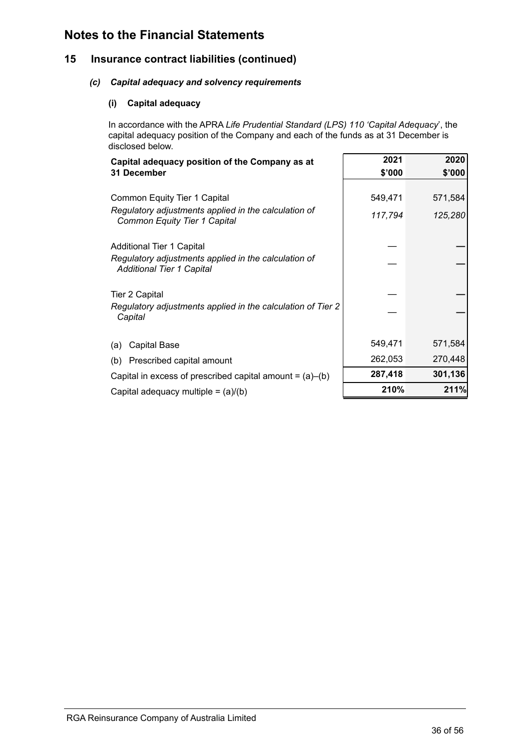### **15 Insurance contract liabilities (continued)**

### *(c) Capital adequacy and solvency requirements*

### **(i) Capital adequacy**

In accordance with the APRA *Life Prudential Standard (LPS) 110 'Capital Adequacy*', the capital adequacy position of the Company and each of the funds as at 31 December is disclosed below.

| Capital adequacy position of the Company as at                                           | 2021    | 2020    |
|------------------------------------------------------------------------------------------|---------|---------|
| 31 December                                                                              | \$'000  | \$'000  |
|                                                                                          |         |         |
| <b>Common Equity Tier 1 Capital</b>                                                      | 549,471 | 571,584 |
| Regulatory adjustments applied in the calculation of<br>Common Equity Tier 1 Capital     | 117,794 | 125,280 |
|                                                                                          |         |         |
| Additional Tier 1 Capital                                                                |         |         |
| Regulatory adjustments applied in the calculation of<br><b>Additional Tier 1 Capital</b> |         |         |
|                                                                                          |         |         |
| <b>Tier 2 Capital</b>                                                                    |         |         |
| Regulatory adjustments applied in the calculation of Tier 2<br>Capital                   |         |         |
|                                                                                          |         |         |
| Capital Base<br>(a)                                                                      | 549,471 | 571,584 |
| Prescribed capital amount<br>(b)                                                         | 262,053 | 270,448 |
| Capital in excess of prescribed capital amount = $(a)$ – $(b)$                           | 287,418 | 301,136 |
| Capital adequacy multiple = $(a)/(b)$                                                    | 210%    | 211%    |
|                                                                                          |         |         |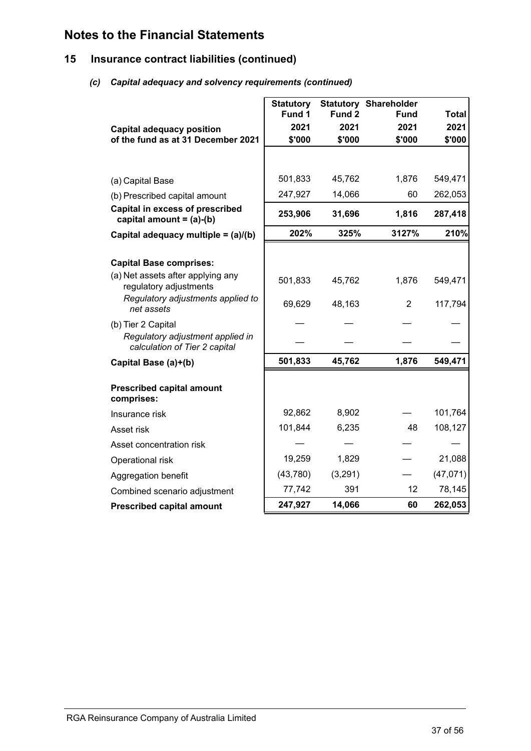### **15 Insurance contract liabilities (continued)**

### *(c) Capital adequacy and solvency requirements (continued)*

|                                                                      | <b>Statutory</b> |         | <b>Statutory Shareholder</b> |              |
|----------------------------------------------------------------------|------------------|---------|------------------------------|--------------|
|                                                                      | Fund 1           | Fund 2  | <b>Fund</b>                  | <b>Total</b> |
| <b>Capital adequacy position</b>                                     | 2021             | 2021    | 2021                         | 2021         |
| of the fund as at 31 December 2021                                   | \$'000           | \$'000  | \$'000                       | \$'000       |
|                                                                      |                  |         |                              |              |
| (a) Capital Base                                                     | 501,833          | 45,762  | 1,876                        | 549,471      |
| (b) Prescribed capital amount                                        | 247,927          | 14,066  | 60                           | 262,053      |
| <b>Capital in excess of prescribed</b><br>capital amount = $(a)-(b)$ | 253,906          | 31,696  | 1,816                        | 287,418      |
| Capital adequacy multiple = (a)/(b)                                  | 202%             | 325%    | 3127%                        | 210%         |
|                                                                      |                  |         |                              |              |
| <b>Capital Base comprises:</b>                                       |                  |         |                              |              |
| (a) Net assets after applying any<br>regulatory adjustments          | 501,833          | 45,762  | 1,876                        | 549,471      |
| Regulatory adjustments applied to<br>net assets                      | 69,629           | 48,163  | $\overline{2}$               | 117,794      |
| (b) Tier 2 Capital                                                   |                  |         |                              |              |
| Regulatory adjustment applied in<br>calculation of Tier 2 capital    |                  |         |                              |              |
| Capital Base (a)+(b)                                                 | 501,833          | 45,762  | 1,876                        | 549,471      |
| <b>Prescribed capital amount</b><br>comprises:                       |                  |         |                              |              |
| Insurance risk                                                       | 92,862           | 8,902   |                              | 101,764      |
| Asset risk                                                           | 101,844          | 6,235   | 48                           | 108,127      |
| Asset concentration risk                                             |                  |         |                              |              |
| Operational risk                                                     | 19,259           | 1,829   |                              | 21,088       |
| Aggregation benefit                                                  | (43,780)         | (3,291) |                              | (47, 071)    |
| Combined scenario adjustment                                         | 77,742           | 391     | 12                           | 78,145       |
| <b>Prescribed capital amount</b>                                     | 247,927          | 14,066  | 60                           | 262,053      |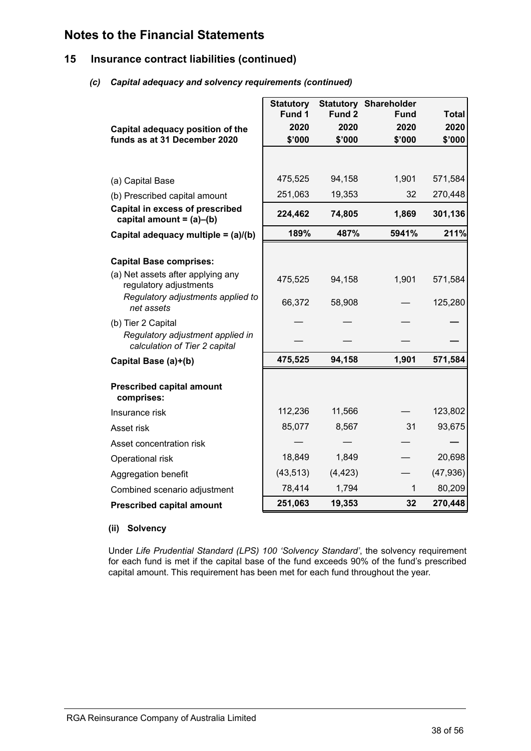### **15 Insurance contract liabilities (continued)**

### *(c) Capital adequacy and solvency requirements (continued)*

| Capital adequacy position of the<br>funds as at 31 December 2020          | <b>Statutory</b><br>Fund 1<br>2020<br>\$'000 | Fund 2<br>2020<br>\$'000 | <b>Statutory Shareholder</b><br>Fund<br>2020<br>\$'000 | <b>Total</b><br>2020<br>\$'000 |
|---------------------------------------------------------------------------|----------------------------------------------|--------------------------|--------------------------------------------------------|--------------------------------|
|                                                                           |                                              |                          |                                                        |                                |
| (a) Capital Base                                                          | 475,525                                      | 94,158                   | 1,901                                                  | 571,584                        |
| (b) Prescribed capital amount                                             | 251,063                                      | 19,353                   | 32                                                     | 270,448                        |
| Capital in excess of prescribed<br>capital amount = $(a)$ – $(b)$         | 224,462                                      | 74,805                   | 1,869                                                  | 301,136                        |
| Capital adequacy multiple = (a)/(b)                                       | 189%                                         | 487%                     | 5941%                                                  | 211%                           |
| <b>Capital Base comprises:</b><br>(a) Net assets after applying any       | 475,525                                      | 94,158                   | 1,901                                                  | 571,584                        |
| regulatory adjustments<br>Regulatory adjustments applied to<br>net assets | 66,372                                       | 58,908                   |                                                        | 125,280                        |
| (b) Tier 2 Capital                                                        |                                              |                          |                                                        |                                |
| Regulatory adjustment applied in<br>calculation of Tier 2 capital         |                                              |                          |                                                        |                                |
| Capital Base (a)+(b)                                                      | 475,525                                      | 94,158                   | 1,901                                                  | 571,584                        |
| <b>Prescribed capital amount</b><br>comprises:                            |                                              |                          |                                                        |                                |
| Insurance risk                                                            | 112,236                                      | 11,566                   |                                                        | 123,802                        |
| Asset risk                                                                | 85,077                                       | 8,567                    | 31                                                     | 93,675                         |
| Asset concentration risk                                                  |                                              |                          |                                                        |                                |
| Operational risk                                                          | 18,849                                       | 1,849                    |                                                        | 20,698                         |
| Aggregation benefit                                                       | (43, 513)                                    | (4, 423)                 |                                                        | (47, 936)                      |
| Combined scenario adjustment                                              | 78,414                                       | 1,794                    | 1                                                      | 80,209                         |
| <b>Prescribed capital amount</b>                                          | 251,063                                      | 19,353                   | 32                                                     | 270,448                        |

### **(ii) Solvency**

Under *Life Prudential Standard (LPS) 100 'Solvency Standard'*, the solvency requirement for each fund is met if the capital base of the fund exceeds 90% of the fund's prescribed capital amount. This requirement has been met for each fund throughout the year.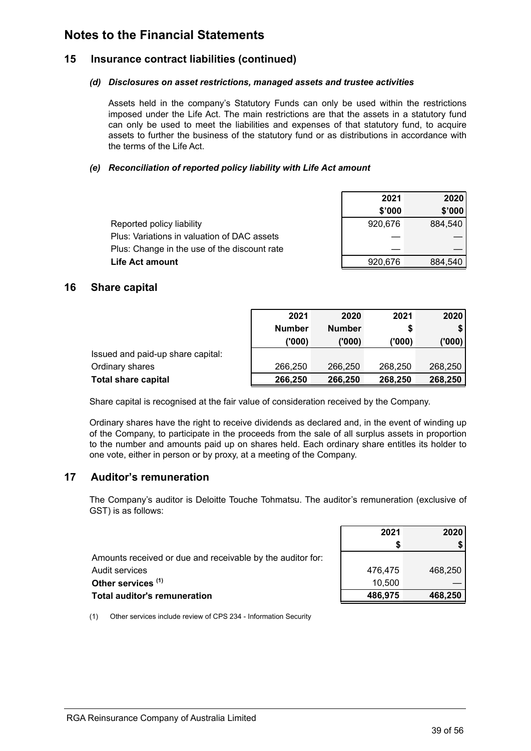### <span id="page-41-0"></span>**15 Insurance contract liabilities (continued)**

### *(d) Disclosures on asset restrictions, managed assets and trustee activities*

Assets held in the company's Statutory Funds can only be used within the restrictions imposed under the Life Act. The main restrictions are that the assets in a statutory fund can only be used to meet the liabilities and expenses of that statutory fund, to acquire assets to further the business of the statutory fund or as distributions in accordance with the terms of the Life Act.

### *(e) Reconciliation of reported policy liability with Life Act amount*

|                                              | 2021    | 2020    |
|----------------------------------------------|---------|---------|
|                                              | \$'000  | \$'000  |
| Reported policy liability                    | 920.676 | 884.540 |
| Plus: Variations in valuation of DAC assets  |         |         |
| Plus: Change in the use of the discount rate |         |         |
| Life Act amount                              | 920.676 | 884.540 |

### **16 Share capital**

|                                   | 2021          | 2020          | 2021    | 2020    |
|-----------------------------------|---------------|---------------|---------|---------|
|                                   | <b>Number</b> | <b>Number</b> |         |         |
|                                   | (000)         | ('000)        | ('000)  | ('000') |
| Issued and paid-up share capital: |               |               |         |         |
| Ordinary shares                   | 266,250       | 266,250       | 268,250 | 268,250 |
| <b>Total share capital</b>        | 266,250       | 266,250       | 268,250 | 268,250 |

Share capital is recognised at the fair value of consideration received by the Company.

Ordinary shares have the right to receive dividends as declared and, in the event of winding up of the Company, to participate in the proceeds from the sale of all surplus assets in proportion to the number and amounts paid up on shares held. Each ordinary share entitles its holder to one vote, either in person or by proxy, at a meeting of the Company.

### **17 Auditor's remuneration**

The Company's auditor is Deloitte Touche Tohmatsu. The auditor's remuneration (exclusive of GST) is as follows:

| 2021    | 2020    |
|---------|---------|
|         |         |
|         |         |
| 476,475 | 468,250 |
| 10.500  |         |
| 486,975 | 468,250 |
|         |         |

(1) Other services include review of CPS 234 - Information Security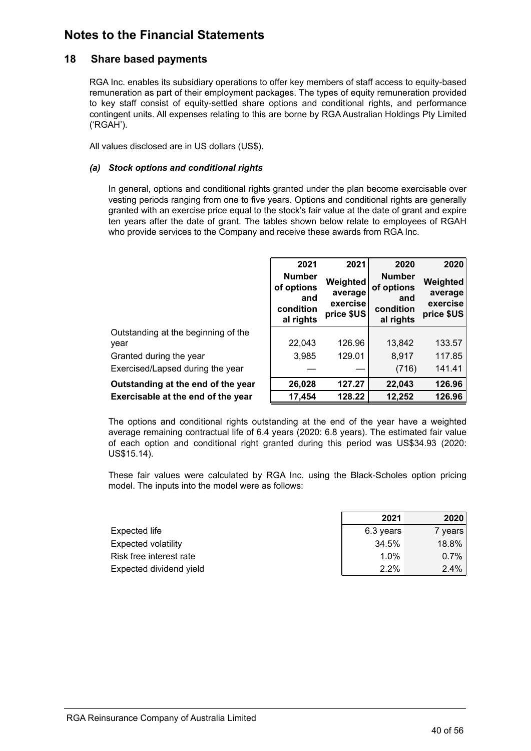### <span id="page-42-0"></span>**18 Share based payments**

RGA Inc. enables its subsidiary operations to offer key members of staff access to equity-based remuneration as part of their employment packages. The types of equity remuneration provided to key staff consist of equity-settled share options and conditional rights, and performance contingent units. All expenses relating to this are borne by RGA Australian Holdings Pty Limited ('RGAH').

All values disclosed are in US dollars (US\$).

### *(a) Stock options and conditional rights*

In general, options and conditional rights granted under the plan become exercisable over vesting periods ranging from one to five years. Options and conditional rights are generally granted with an exercise price equal to the stock's fair value at the date of grant and expire ten years after the date of grant. The tables shown below relate to employees of RGAH who provide services to the Company and receive these awards from RGA Inc.

|                                             | 2021<br><b>Number</b><br>of options<br>and<br>condition<br>al rights | 2021<br>Weighted<br>average<br>exercise<br>price \$US | 2020<br><b>Number</b><br>of options<br>and<br>condition<br>al rights | 2020<br>Weighted<br>average<br>exercise<br>price \$US |
|---------------------------------------------|----------------------------------------------------------------------|-------------------------------------------------------|----------------------------------------------------------------------|-------------------------------------------------------|
| Outstanding at the beginning of the<br>year | 22,043                                                               | 126.96                                                | 13,842                                                               | 133.57                                                |
| Granted during the year                     | 3,985                                                                | 129.01                                                | 8,917                                                                | 117.85                                                |
| Exercised/Lapsed during the year            |                                                                      |                                                       | (716)                                                                | 141.41                                                |
| Outstanding at the end of the year          | 26,028                                                               | 127.27                                                | 22,043                                                               | 126.96                                                |
| Exercisable at the end of the year          | 17,454                                                               | 128.22                                                | 12,252                                                               | 126.96                                                |

The options and conditional rights outstanding at the end of the year have a weighted average remaining contractual life of 6.4 years (2020: 6.8 years). The estimated fair value of each option and conditional right granted during this period was US\$34.93 (2020: US\$15.14).

These fair values were calculated by RGA Inc. using the Black-Scholes option pricing model. The inputs into the model were as follows:

|                            | 2021      | 2020      |
|----------------------------|-----------|-----------|
| Expected life              | 6.3 years | 7 years l |
| <b>Expected volatility</b> | 34.5%     | 18.8%     |
| Risk free interest rate    | 1.0%      | $0.7\%$   |
| Expected dividend yield    | 2.2%      | 2.4%      |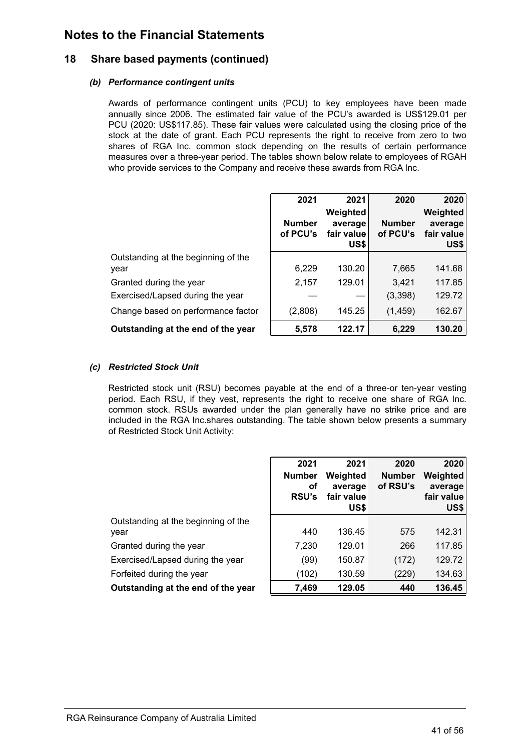### **18 Share based payments (continued)**

### *(b) Performance contingent units*

Awards of performance contingent units (PCU) to key employees have been made annually since 2006. The estimated fair value of the PCU's awarded is US\$129.01 per PCU (2020: US\$117.85). These fair values were calculated using the closing price of the stock at the date of grant. Each PCU represents the right to receive from zero to two shares of RGA Inc. common stock depending on the results of certain performance measures over a three-year period. The tables shown below relate to employees of RGAH who provide services to the Company and receive these awards from RGA Inc.

|      | Outstanding at the beginning of the |
|------|-------------------------------------|
| year |                                     |

|                                             | 2021<br><b>Number</b><br>of PCU's | 2021<br>Weighted<br>average<br>fair value<br>US\$ | 2020<br><b>Number</b><br>of PCU's | 2020<br>Weighted<br>average<br>fair value<br>US\$ |
|---------------------------------------------|-----------------------------------|---------------------------------------------------|-----------------------------------|---------------------------------------------------|
| Outstanding at the beginning of the<br>year | 6,229                             | 130.20                                            | 7,665                             | 141.68                                            |
| Granted during the year                     | 2,157                             | 129.01                                            | 3,421                             | 117.85                                            |
| Exercised/Lapsed during the year            |                                   |                                                   | (3,398)                           | 129.72                                            |
| Change based on performance factor          | (2,808)                           | 145.25                                            | (1, 459)                          | 162.67                                            |
| Outstanding at the end of the year          | 5,578                             | 122.17                                            | 6,229                             | 130.20                                            |

### *(c) Restricted Stock Unit*

Restricted stock unit (RSU) becomes payable at the end of a three-or ten-year vesting period. Each RSU, if they vest, represents the right to receive one share of RGA Inc. common stock. RSUs awarded under the plan generally have no strike price and are included in the RGA Inc.shares outstanding. The table shown below presents a summary of Restricted Stock Unit Activity:

|                                             | 2021<br><b>Number</b><br>оf<br><b>RSU's</b> | 2021<br>Weighted<br>average<br>fair value<br>US\$ | 2020<br><b>Number</b><br>of RSU's | 2020<br>Weighted<br>average<br>fair value<br>US\$ |
|---------------------------------------------|---------------------------------------------|---------------------------------------------------|-----------------------------------|---------------------------------------------------|
| Outstanding at the beginning of the<br>year | 440                                         | 136.45                                            | 575                               | 142.31                                            |
| Granted during the year                     | 7,230                                       | 129.01                                            | 266                               | 117.85                                            |
| Exercised/Lapsed during the year            | (99)                                        | 150.87                                            | (172)                             | 129.72                                            |
| Forfeited during the year                   | (102)                                       | 130.59                                            | (229)                             | 134.63                                            |
| Outstanding at the end of the year          | 7,469                                       | 129.05                                            | 440                               | 136.45                                            |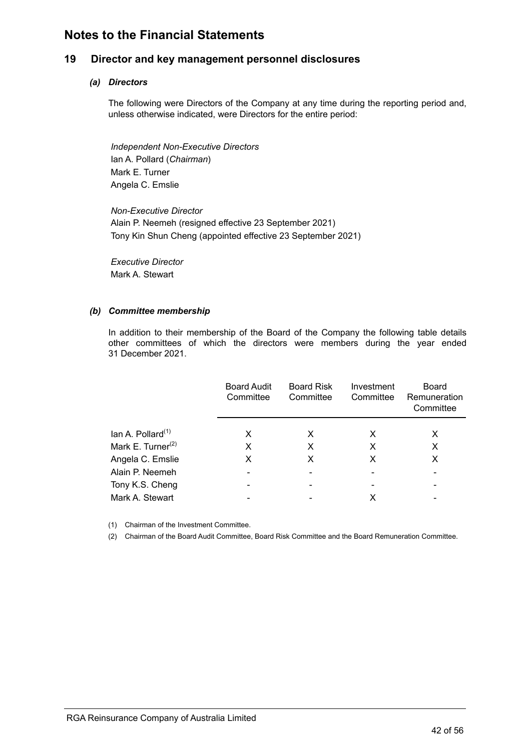### <span id="page-44-0"></span>**19 Director and key management personnel disclosures**

### *(a) Directors*

The following were Directors of the Company at any time during the reporting period and, unless otherwise indicated, were Directors for the entire period:

*Independent Non-Executive Directors* Ian A. Pollard (*Chairman*) Mark E. Turner Angela C. Emslie

*Non-Executive Director* Alain P. Neemeh (resigned effective 23 September 2021) Tony Kin Shun Cheng (appointed effective 23 September 2021)

*Executive Director* Mark A. Stewart

### *(b) Committee membership*

In addition to their membership of the Board of the Company the following table details other committees of which the directors were members during the year ended 31 December 2021.

|                               | <b>Board Audit</b><br>Committee | <b>Board Risk</b><br>Committee | Investment<br>Committee | Board<br>Remuneration<br>Committee |
|-------------------------------|---------------------------------|--------------------------------|-------------------------|------------------------------------|
| lan A. Pollard $(1)$          | X                               | X                              | X                       | х                                  |
| Mark E. Turner <sup>(2)</sup> | X                               | X                              | X                       | х                                  |
| Angela C. Emslie              | X                               | X                              | X                       | X                                  |
| Alain P. Neemeh               | $\overline{\phantom{0}}$        | $\blacksquare$                 |                         | $\overline{\phantom{a}}$           |
| Tony K.S. Cheng               |                                 |                                |                         |                                    |
| Mark A. Stewart               |                                 |                                |                         |                                    |
|                               |                                 |                                |                         |                                    |

(1) Chairman of the Investment Committee.

(2) Chairman of the Board Audit Committee, Board Risk Committee and the Board Remuneration Committee.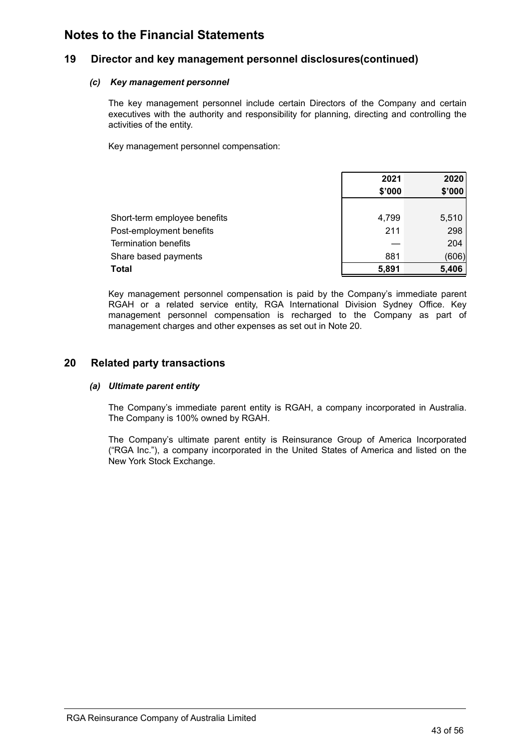### <span id="page-45-0"></span>**19 Director and key management personnel disclosures(continued)**

### *(c) Key management personnel*

The key management personnel include certain Directors of the Company and certain executives with the authority and responsibility for planning, directing and controlling the activities of the entity.

Key management personnel compensation:

|                              | 2021   | 2020   |
|------------------------------|--------|--------|
|                              | \$'000 | \$'000 |
|                              |        |        |
| Short-term employee benefits | 4,799  | 5,510  |
| Post-employment benefits     | 211    | 298    |
| <b>Termination benefits</b>  |        | 204    |
| Share based payments         | 881    | (606)  |
| Total                        | 5,891  | 5,406  |

Key management personnel compensation is paid by the Company's immediate parent RGAH or a related service entity, RGA International Division Sydney Office. Key management personnel compensation is recharged to the Company as part of management charges and other expenses as set out in Note 20.

### **20 Related party transactions**

### *(a) Ultimate parent entity*

The Company's immediate parent entity is RGAH, a company incorporated in Australia. The Company is 100% owned by RGAH.

The Company's ultimate parent entity is Reinsurance Group of America Incorporated ("RGA Inc."), a company incorporated in the United States of America and listed on the New York Stock Exchange.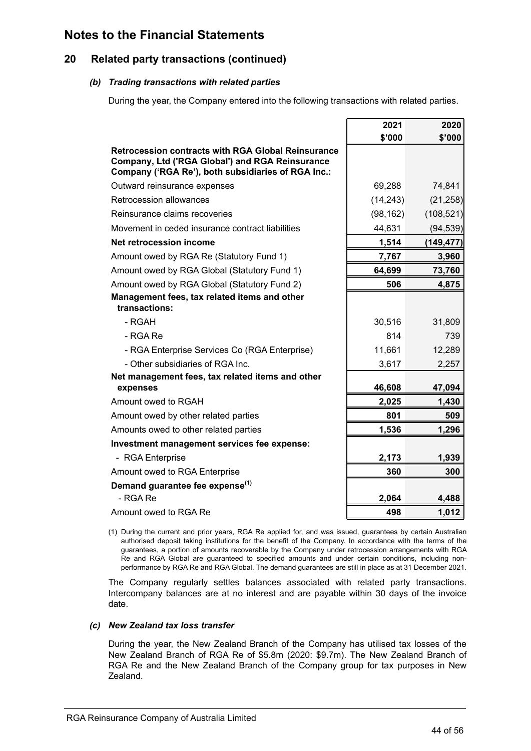### **20 Related party transactions (continued)**

### *(b) Trading transactions with related parties*

During the year, the Company entered into the following transactions with related parties.

|                                                                                                                                                                    | 2021      | 2020       |
|--------------------------------------------------------------------------------------------------------------------------------------------------------------------|-----------|------------|
|                                                                                                                                                                    | \$'000    | \$'000     |
| <b>Retrocession contracts with RGA Global Reinsurance</b><br>Company, Ltd ('RGA Global') and RGA Reinsurance<br>Company ('RGA Re'), both subsidiaries of RGA Inc.: |           |            |
| Outward reinsurance expenses                                                                                                                                       | 69,288    | 74,841     |
| Retrocession allowances                                                                                                                                            | (14, 243) | (21, 258)  |
| Reinsurance claims recoveries                                                                                                                                      | (98, 162) | (108, 521) |
| Movement in ceded insurance contract liabilities                                                                                                                   | 44,631    | (94, 539)  |
| <b>Net retrocession income</b>                                                                                                                                     | 1,514     | (149, 477) |
| Amount owed by RGA Re (Statutory Fund 1)                                                                                                                           | 7,767     | 3,960      |
| Amount owed by RGA Global (Statutory Fund 1)                                                                                                                       | 64,699    | 73,760     |
| Amount owed by RGA Global (Statutory Fund 2)                                                                                                                       | 506       | 4,875      |
| Management fees, tax related items and other<br>transactions:                                                                                                      |           |            |
| - RGAH                                                                                                                                                             | 30,516    | 31,809     |
| - RGA Re                                                                                                                                                           | 814       | 739        |
| - RGA Enterprise Services Co (RGA Enterprise)                                                                                                                      | 11,661    | 12,289     |
| - Other subsidiaries of RGA Inc.                                                                                                                                   | 3,617     | 2,257      |
| Net management fees, tax related items and other<br>expenses                                                                                                       | 46,608    | 47,094     |
| Amount owed to RGAH                                                                                                                                                | 2,025     | 1,430      |
| Amount owed by other related parties                                                                                                                               | 801       | 509        |
| Amounts owed to other related parties                                                                                                                              | 1,536     | 1,296      |
| Investment management services fee expense:                                                                                                                        |           |            |
| - RGA Enterprise                                                                                                                                                   | 2,173     | 1,939      |
| Amount owed to RGA Enterprise                                                                                                                                      | 360       | 300        |
| Demand guarantee fee expense <sup>(1)</sup>                                                                                                                        |           |            |
| - RGA Re                                                                                                                                                           | 2,064     | 4,488      |
| Amount owed to RGA Re                                                                                                                                              | 498       | 1,012      |

(1) During the current and prior years, RGA Re applied for, and was issued, guarantees by certain Australian authorised deposit taking institutions for the benefit of the Company. In accordance with the terms of the guarantees, a portion of amounts recoverable by the Company under retrocession arrangements with RGA Re and RGA Global are guaranteed to specified amounts and under certain conditions, including nonperformance by RGA Re and RGA Global. The demand guarantees are still in place as at 31 December 2021.

The Company regularly settles balances associated with related party transactions. Intercompany balances are at no interest and are payable within 30 days of the invoice date.

### *(c) New Zealand tax loss transfer*

During the year, the New Zealand Branch of the Company has utilised tax losses of the New Zealand Branch of RGA Re of \$5.8m (2020: \$9.7m). The New Zealand Branch of RGA Re and the New Zealand Branch of the Company group for tax purposes in New Zealand.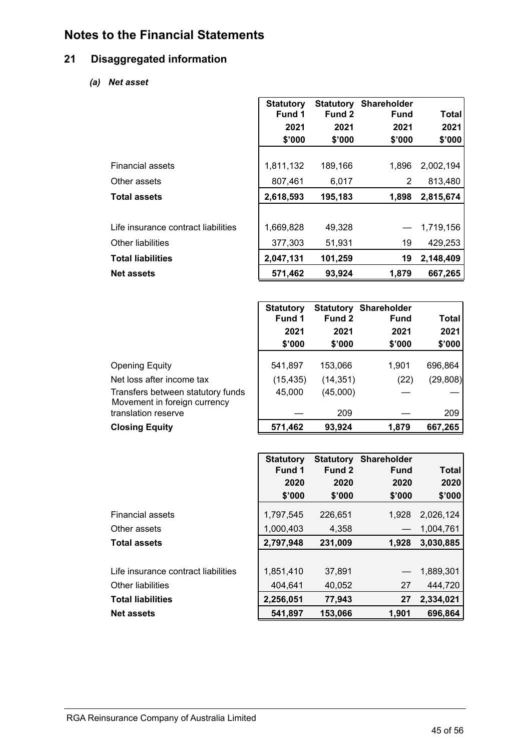### <span id="page-47-0"></span>**21 Disaggregated information**

*(a) Net asset*

|                                     | <b>Statutory</b> | <b>Statutory</b> | <b>Shareholder</b> |           |
|-------------------------------------|------------------|------------------|--------------------|-----------|
|                                     | Fund 1           | Fund 2           | Fund               | Total     |
|                                     | 2021             | 2021             | 2021               | 2021      |
|                                     | \$'000           | \$'000           | \$'000             | \$'000    |
|                                     |                  |                  |                    |           |
| Financial assets                    | 1,811,132        | 189,166          | 1,896              | 2,002,194 |
| Other assets                        | 807,461          | 6,017            | 2                  | 813,480   |
| <b>Total assets</b>                 | 2,618,593        | 195,183          | 1,898              | 2,815,674 |
|                                     |                  |                  |                    |           |
| Life insurance contract liabilities | 1,669,828        | 49,328           |                    | 1,719,156 |
| Other liabilities                   | 377,303          | 51,931           | 19                 | 429,253   |
| <b>Total liabilities</b>            | 2,047,131        | 101,259          | 19                 | 2,148,409 |
| <b>Net assets</b>                   | 571,462          | 93,924           | 1,879              | 667,265   |

|                                                                   | <b>Statutory</b><br>Fund 1 | Fund 2    | <b>Statutory Shareholder</b><br><b>Fund</b> | Total     |
|-------------------------------------------------------------------|----------------------------|-----------|---------------------------------------------|-----------|
|                                                                   | 2021                       | 2021      | 2021                                        | 2021      |
|                                                                   | \$'000                     | \$'000    | \$'000                                      | \$'000    |
| <b>Opening Equity</b>                                             | 541,897                    | 153,066   | 1.901                                       | 696,864   |
| Net loss after income tax                                         | (15, 435)                  | (14, 351) | (22)                                        | (29, 808) |
| Transfers between statutory funds<br>Movement in foreign currency | 45,000                     | (45,000)  |                                             |           |
| translation reserve                                               |                            | 209       |                                             | 209       |
| <b>Closing Equity</b>                                             | 571,462                    | 93,924    | 1.879                                       | 667,265   |

|                                     | <b>Statutory</b> | <b>Statutory</b> | Shareholder |              |
|-------------------------------------|------------------|------------------|-------------|--------------|
|                                     | Fund 1           | Fund 2           | <b>Fund</b> | <b>Total</b> |
|                                     | 2020             | 2020             | 2020        | 2020         |
|                                     | \$'000           | \$'000           | \$'000      | \$'000       |
| <b>Financial assets</b>             | 1,797,545        | 226,651          | 1.928       | 2,026,124    |
| Other assets                        | 1,000,403        | 4,358            |             | 1,004,761    |
| <b>Total assets</b>                 | 2,797,948        | 231,009          | 1,928       | 3,030,885    |
|                                     |                  |                  |             |              |
| Life insurance contract liabilities | 1,851,410        | 37.891           |             | 1,889,301    |
| Other liabilities                   | 404,641          | 40,052           | 27          | 444,720      |
| <b>Total liabilities</b>            | 2,256,051        | 77,943           | 27          | 2,334,021    |
| <b>Net assets</b>                   | 541,897          | 153,066          | 1,901       | 696,864      |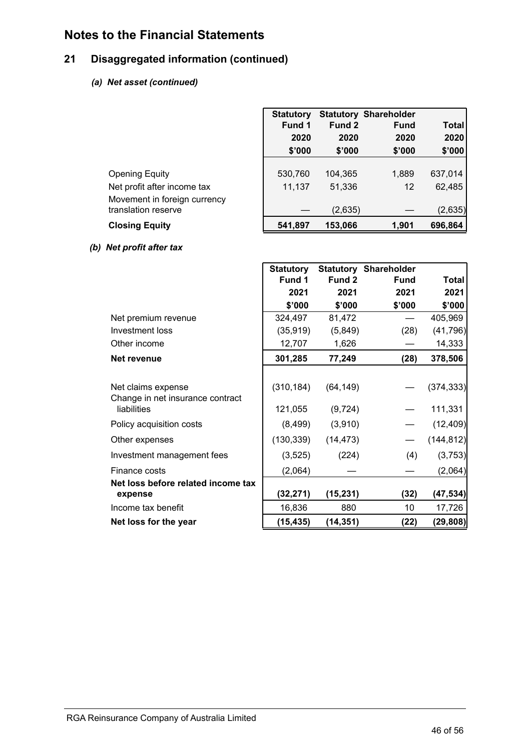### **21 Disaggregated information (continued)**

### *(a) Net asset (continued)*

|                                                                                                             | <b>Statutory</b><br>Fund 1<br>2020<br>\$'000 | Fund 2<br>2020<br>\$'000     | <b>Statutory Shareholder</b><br><b>Fund</b><br>2020<br>\$'000 | <b>Total</b><br>2020<br>\$'000 |
|-------------------------------------------------------------------------------------------------------------|----------------------------------------------|------------------------------|---------------------------------------------------------------|--------------------------------|
| <b>Opening Equity</b><br>Net profit after income tax<br>Movement in foreign currency<br>translation reserve | 530,760<br>11,137                            | 104,365<br>51,336<br>(2,635) | 1,889<br>12                                                   | 637,014<br>62,485<br>(2,635)   |
| <b>Closing Equity</b>                                                                                       | 541,897                                      | 153,066                      | 1,901                                                         | 696,864                        |

### *(b) Net profit after tax*

|                                    | <b>Statutory</b> |           | <b>Statutory Shareholder</b> |            |
|------------------------------------|------------------|-----------|------------------------------|------------|
|                                    | Fund 1           | Fund 2    | <b>Fund</b>                  | Total      |
|                                    | 2021             | 2021      | 2021                         | 2021       |
|                                    | \$'000           | \$'000    | \$'000                       | \$'000     |
| Net premium revenue                | 324,497          | 81,472    |                              | 405,969    |
| Investment loss                    | (35, 919)        | (5,849)   | (28)                         | (41, 796)  |
| Other income                       | 12,707           | 1,626     |                              | 14,333     |
| Net revenue                        | 301,285          | 77,249    | (28)                         | 378,506    |
|                                    |                  |           |                              |            |
| Net claims expense                 | (310, 184)       | (64, 149) |                              | (374, 333) |
| Change in net insurance contract   |                  |           |                              |            |
| liabilities                        | 121,055          | (9, 724)  |                              | 111,331    |
| Policy acquisition costs           | (8, 499)         | (3,910)   |                              | (12, 409)  |
| Other expenses                     | (130, 339)       | (14, 473) |                              | (144, 812) |
| Investment management fees         | (3, 525)         | (224)     | (4)                          | (3,753)    |
| Finance costs                      | (2,064)          |           |                              | (2,064)    |
| Net loss before related income tax |                  |           |                              |            |
| expense                            | (32,271)         | (15, 231) | (32)                         | (47,534)   |
| Income tax benefit                 | 16,836           | 880       | 10                           | 17,726     |
| Net loss for the year              | (15,435)         | (14, 351) | (22)                         | (29, 808)  |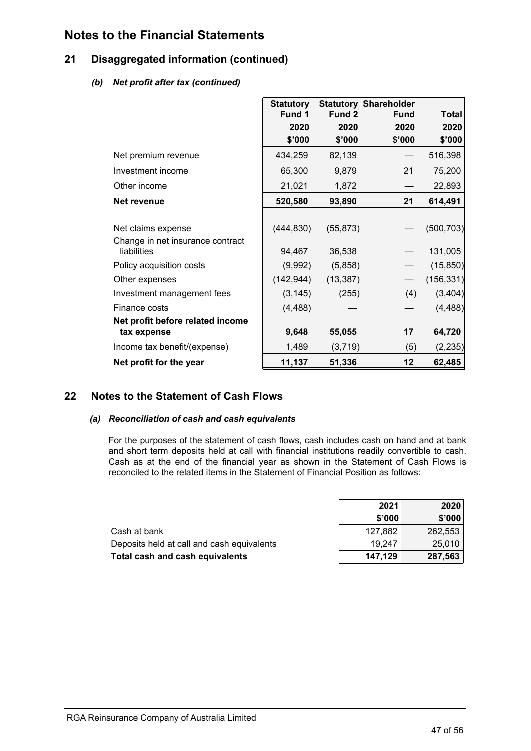### <span id="page-49-0"></span>**21 Disaggregated information (continued)**

### *(b) Net profit after tax (continued)*

|                                                 | <b>Statutory</b> |           | <b>Statutory Shareholder</b> |              |
|-------------------------------------------------|------------------|-----------|------------------------------|--------------|
|                                                 | Fund 1           | Fund 2    | <b>Fund</b>                  | <b>Total</b> |
|                                                 | 2020             | 2020      | 2020                         | 2020         |
|                                                 | \$'000           | \$'000    | \$'000                       | \$'000       |
| Net premium revenue                             | 434,259          | 82,139    |                              | 516,398      |
| Investment income                               | 65,300           | 9,879     | 21                           | 75,200       |
| Other income                                    | 21,021           | 1,872     |                              | 22,893       |
| Net revenue                                     | 520,580          | 93,890    | 21                           | 614,491      |
|                                                 |                  |           |                              |              |
| Net claims expense                              | (444, 830)       | (55, 873) |                              | (500, 703)   |
| Change in net insurance contract<br>liabilities | 94,467           | 36,538    |                              | 131,005      |
| Policy acquisition costs                        | (9,992)          | (5,858)   |                              | (15, 850)    |
| Other expenses                                  | (142, 944)       | (13, 387) |                              | (156, 331)   |
| Investment management fees                      | (3, 145)         | (255)     | (4)                          | (3,404)      |
| Finance costs                                   | (4, 488)         |           |                              | (4, 488)     |
| Net profit before related income                |                  |           |                              |              |
| tax expense                                     | 9,648            | 55,055    | 17                           | 64,720       |
| Income tax benefit/(expense)                    | 1,489            | (3,719)   | (5)                          | (2, 235)     |
| Net profit for the year                         | 11,137           | 51,336    | 12                           | 62,485       |

### **22 Notes to the Statement of Cash Flows**

### *(a) Reconciliation of cash and cash equivalents*

For the purposes of the statement of cash flows, cash includes cash on hand and at bank and short term deposits held at call with financial institutions readily convertible to cash. Cash as at the end of the financial year as shown in the Statement of Cash Flows is reconciled to the related items in the Statement of Financial Position as follows:

|                                            | 2021    | 2020    |
|--------------------------------------------|---------|---------|
|                                            | \$'000  | \$'000  |
| Cash at bank                               | 127.882 | 262,553 |
| Deposits held at call and cash equivalents | 19.247  | 25,010  |
| Total cash and cash equivalents            | 147,129 | 287,563 |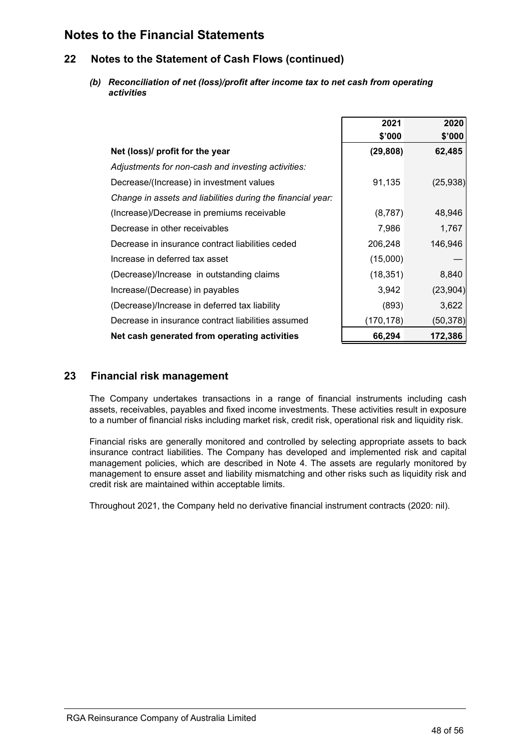### <span id="page-50-0"></span>**22 Notes to the Statement of Cash Flows (continued)**

*(b) Reconciliation of net (loss)/profit after income tax to net cash from operating activities*

|                                                             | 2021      | 2020      |
|-------------------------------------------------------------|-----------|-----------|
|                                                             | \$'000    | \$'000    |
| Net (loss)/ profit for the year                             | (29, 808) | 62,485    |
| Adjustments for non-cash and investing activities:          |           |           |
| Decrease/(Increase) in investment values                    | 91,135    | (25, 938) |
| Change in assets and liabilities during the financial year: |           |           |
| (Increase)/Decrease in premiums receivable                  | (8, 787)  | 48,946    |
| Decrease in other receivables                               | 7,986     | 1,767     |
| Decrease in insurance contract liabilities ceded            | 206,248   | 146,946   |
| Increase in deferred tax asset                              | (15,000)  |           |
| (Decrease)/Increase in outstanding claims                   | (18, 351) | 8,840     |
| Increase/(Decrease) in payables                             | 3,942     | (23, 904) |
| (Decrease)/Increase in deferred tax liability               | (893)     | 3,622     |
| Decrease in insurance contract liabilities assumed          | (170,178) | (50,378)  |
| Net cash generated from operating activities                | 66,294    | 172,386   |

### **23 Financial risk management**

The Company undertakes transactions in a range of financial instruments including cash assets, receivables, payables and fixed income investments. These activities result in exposure to a number of financial risks including market risk, credit risk, operational risk and liquidity risk.

Financial risks are generally monitored and controlled by selecting appropriate assets to back insurance contract liabilities. The Company has developed and implemented risk and capital management policies, which are described in Note 4. The assets are regularly monitored by management to ensure asset and liability mismatching and other risks such as liquidity risk and credit risk are maintained within acceptable limits.

Throughout 2021, the Company held no derivative financial instrument contracts (2020: nil).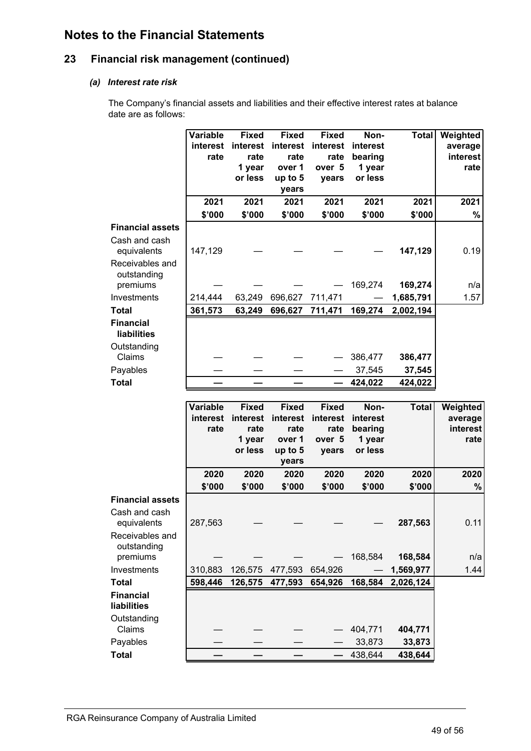### **23 Financial risk management (continued)**

### *(a) Interest rate risk*

The Company's financial assets and liabilities and their effective interest rates at balance date are as follows:

| interest<br>interest<br>interest<br>interest<br>interest<br>average<br>rate<br>rate<br>rate<br>interest<br>rate<br>bearing<br>1 year<br>over 1<br>over 5<br>1 year<br>rate<br>or less<br>or less<br>up to 5<br>years<br>years<br>2021<br>2021<br>2021<br>2021<br>2021<br>2021<br>2021<br>\$'000<br>\$'000<br>\$'000<br>\$'000<br>\$'000<br>\$'000<br>$\%$<br><b>Financial assets</b><br>Cash and cash<br>147,129<br>0.19<br>equivalents<br>147,129<br>Receivables and<br>outstanding<br>169,274<br>169,274<br>premiums<br>n/a<br>1.57<br>Investments<br>214,444<br>63,249<br>696,627<br>711,471<br>1,685,791<br><b>Total</b><br>361,573<br>63,249<br>696,627<br>711,471<br>169,274<br>2,002,194<br><b>Financial</b><br><b>liabilities</b><br>Outstanding<br>Claims<br>386,477<br>386,477<br>Payables<br>37,545<br>37,545<br><b>Total</b><br>424,022<br>424,022<br>Variable<br><b>Fixed</b><br><b>Fixed</b><br><b>Fixed</b><br>Non-<br><b>Total</b><br>Weighted<br>interest<br>interest<br>interest<br>interest<br>interest<br>average<br>bearing<br>rate<br>rate<br>rate<br>rate<br>1 year<br>over 1<br>over 5<br>1 year<br>rate<br>or less<br>or less<br>up to 5<br>years<br>years<br>2020<br>2020<br>2020<br>2020<br>2020<br>2020<br>2020<br>\$'000<br>\$'000<br>\$'000<br>\$'000<br>\$'000<br>\$'000<br>%<br><b>Financial assets</b><br>Cash and cash<br>equivalents<br>287,563<br>287,563<br>0.11<br>Receivables and<br>outstanding<br>premiums<br>168,584<br>168,584<br>Investments<br>310,883<br>126,575<br>654,926<br>1,569,977<br>1.44<br>477,593<br>598,446<br><b>Total</b><br>126,575<br>654,926<br>168,584<br>2,026,124<br>477,593<br><b>Financial</b><br>liabilities<br>Outstanding<br>Claims<br>404,771<br>404,771<br>Payables<br>33,873<br>33,873<br><b>Total</b><br>438,644<br>438,644 | <b>Variable</b> | <b>Fixed</b> | <b>Fixed</b> | <b>Fixed</b> | Non- | <b>Total</b> | Weighted        |
|-------------------------------------------------------------------------------------------------------------------------------------------------------------------------------------------------------------------------------------------------------------------------------------------------------------------------------------------------------------------------------------------------------------------------------------------------------------------------------------------------------------------------------------------------------------------------------------------------------------------------------------------------------------------------------------------------------------------------------------------------------------------------------------------------------------------------------------------------------------------------------------------------------------------------------------------------------------------------------------------------------------------------------------------------------------------------------------------------------------------------------------------------------------------------------------------------------------------------------------------------------------------------------------------------------------------------------------------------------------------------------------------------------------------------------------------------------------------------------------------------------------------------------------------------------------------------------------------------------------------------------------------------------------------------------------------------------------------------------------------------------------------------------------------------------|-----------------|--------------|--------------|--------------|------|--------------|-----------------|
|                                                                                                                                                                                                                                                                                                                                                                                                                                                                                                                                                                                                                                                                                                                                                                                                                                                                                                                                                                                                                                                                                                                                                                                                                                                                                                                                                                                                                                                                                                                                                                                                                                                                                                                                                                                                       |                 |              |              |              |      |              |                 |
|                                                                                                                                                                                                                                                                                                                                                                                                                                                                                                                                                                                                                                                                                                                                                                                                                                                                                                                                                                                                                                                                                                                                                                                                                                                                                                                                                                                                                                                                                                                                                                                                                                                                                                                                                                                                       |                 |              |              |              |      |              |                 |
|                                                                                                                                                                                                                                                                                                                                                                                                                                                                                                                                                                                                                                                                                                                                                                                                                                                                                                                                                                                                                                                                                                                                                                                                                                                                                                                                                                                                                                                                                                                                                                                                                                                                                                                                                                                                       |                 |              |              |              |      |              |                 |
|                                                                                                                                                                                                                                                                                                                                                                                                                                                                                                                                                                                                                                                                                                                                                                                                                                                                                                                                                                                                                                                                                                                                                                                                                                                                                                                                                                                                                                                                                                                                                                                                                                                                                                                                                                                                       |                 |              |              |              |      |              |                 |
|                                                                                                                                                                                                                                                                                                                                                                                                                                                                                                                                                                                                                                                                                                                                                                                                                                                                                                                                                                                                                                                                                                                                                                                                                                                                                                                                                                                                                                                                                                                                                                                                                                                                                                                                                                                                       |                 |              |              |              |      |              |                 |
|                                                                                                                                                                                                                                                                                                                                                                                                                                                                                                                                                                                                                                                                                                                                                                                                                                                                                                                                                                                                                                                                                                                                                                                                                                                                                                                                                                                                                                                                                                                                                                                                                                                                                                                                                                                                       |                 |              |              |              |      |              |                 |
|                                                                                                                                                                                                                                                                                                                                                                                                                                                                                                                                                                                                                                                                                                                                                                                                                                                                                                                                                                                                                                                                                                                                                                                                                                                                                                                                                                                                                                                                                                                                                                                                                                                                                                                                                                                                       |                 |              |              |              |      |              |                 |
|                                                                                                                                                                                                                                                                                                                                                                                                                                                                                                                                                                                                                                                                                                                                                                                                                                                                                                                                                                                                                                                                                                                                                                                                                                                                                                                                                                                                                                                                                                                                                                                                                                                                                                                                                                                                       |                 |              |              |              |      |              |                 |
|                                                                                                                                                                                                                                                                                                                                                                                                                                                                                                                                                                                                                                                                                                                                                                                                                                                                                                                                                                                                                                                                                                                                                                                                                                                                                                                                                                                                                                                                                                                                                                                                                                                                                                                                                                                                       |                 |              |              |              |      |              |                 |
|                                                                                                                                                                                                                                                                                                                                                                                                                                                                                                                                                                                                                                                                                                                                                                                                                                                                                                                                                                                                                                                                                                                                                                                                                                                                                                                                                                                                                                                                                                                                                                                                                                                                                                                                                                                                       |                 |              |              |              |      |              |                 |
|                                                                                                                                                                                                                                                                                                                                                                                                                                                                                                                                                                                                                                                                                                                                                                                                                                                                                                                                                                                                                                                                                                                                                                                                                                                                                                                                                                                                                                                                                                                                                                                                                                                                                                                                                                                                       |                 |              |              |              |      |              |                 |
|                                                                                                                                                                                                                                                                                                                                                                                                                                                                                                                                                                                                                                                                                                                                                                                                                                                                                                                                                                                                                                                                                                                                                                                                                                                                                                                                                                                                                                                                                                                                                                                                                                                                                                                                                                                                       |                 |              |              |              |      |              |                 |
|                                                                                                                                                                                                                                                                                                                                                                                                                                                                                                                                                                                                                                                                                                                                                                                                                                                                                                                                                                                                                                                                                                                                                                                                                                                                                                                                                                                                                                                                                                                                                                                                                                                                                                                                                                                                       |                 |              |              |              |      |              |                 |
|                                                                                                                                                                                                                                                                                                                                                                                                                                                                                                                                                                                                                                                                                                                                                                                                                                                                                                                                                                                                                                                                                                                                                                                                                                                                                                                                                                                                                                                                                                                                                                                                                                                                                                                                                                                                       |                 |              |              |              |      |              |                 |
|                                                                                                                                                                                                                                                                                                                                                                                                                                                                                                                                                                                                                                                                                                                                                                                                                                                                                                                                                                                                                                                                                                                                                                                                                                                                                                                                                                                                                                                                                                                                                                                                                                                                                                                                                                                                       |                 |              |              |              |      |              |                 |
|                                                                                                                                                                                                                                                                                                                                                                                                                                                                                                                                                                                                                                                                                                                                                                                                                                                                                                                                                                                                                                                                                                                                                                                                                                                                                                                                                                                                                                                                                                                                                                                                                                                                                                                                                                                                       |                 |              |              |              |      |              |                 |
|                                                                                                                                                                                                                                                                                                                                                                                                                                                                                                                                                                                                                                                                                                                                                                                                                                                                                                                                                                                                                                                                                                                                                                                                                                                                                                                                                                                                                                                                                                                                                                                                                                                                                                                                                                                                       |                 |              |              |              |      |              |                 |
|                                                                                                                                                                                                                                                                                                                                                                                                                                                                                                                                                                                                                                                                                                                                                                                                                                                                                                                                                                                                                                                                                                                                                                                                                                                                                                                                                                                                                                                                                                                                                                                                                                                                                                                                                                                                       |                 |              |              |              |      |              |                 |
|                                                                                                                                                                                                                                                                                                                                                                                                                                                                                                                                                                                                                                                                                                                                                                                                                                                                                                                                                                                                                                                                                                                                                                                                                                                                                                                                                                                                                                                                                                                                                                                                                                                                                                                                                                                                       |                 |              |              |              |      |              |                 |
|                                                                                                                                                                                                                                                                                                                                                                                                                                                                                                                                                                                                                                                                                                                                                                                                                                                                                                                                                                                                                                                                                                                                                                                                                                                                                                                                                                                                                                                                                                                                                                                                                                                                                                                                                                                                       |                 |              |              |              |      |              |                 |
|                                                                                                                                                                                                                                                                                                                                                                                                                                                                                                                                                                                                                                                                                                                                                                                                                                                                                                                                                                                                                                                                                                                                                                                                                                                                                                                                                                                                                                                                                                                                                                                                                                                                                                                                                                                                       |                 |              |              |              |      |              |                 |
|                                                                                                                                                                                                                                                                                                                                                                                                                                                                                                                                                                                                                                                                                                                                                                                                                                                                                                                                                                                                                                                                                                                                                                                                                                                                                                                                                                                                                                                                                                                                                                                                                                                                                                                                                                                                       |                 |              |              |              |      |              |                 |
|                                                                                                                                                                                                                                                                                                                                                                                                                                                                                                                                                                                                                                                                                                                                                                                                                                                                                                                                                                                                                                                                                                                                                                                                                                                                                                                                                                                                                                                                                                                                                                                                                                                                                                                                                                                                       |                 |              |              |              |      |              |                 |
|                                                                                                                                                                                                                                                                                                                                                                                                                                                                                                                                                                                                                                                                                                                                                                                                                                                                                                                                                                                                                                                                                                                                                                                                                                                                                                                                                                                                                                                                                                                                                                                                                                                                                                                                                                                                       |                 |              |              |              |      |              | <b>interest</b> |
|                                                                                                                                                                                                                                                                                                                                                                                                                                                                                                                                                                                                                                                                                                                                                                                                                                                                                                                                                                                                                                                                                                                                                                                                                                                                                                                                                                                                                                                                                                                                                                                                                                                                                                                                                                                                       |                 |              |              |              |      |              |                 |
|                                                                                                                                                                                                                                                                                                                                                                                                                                                                                                                                                                                                                                                                                                                                                                                                                                                                                                                                                                                                                                                                                                                                                                                                                                                                                                                                                                                                                                                                                                                                                                                                                                                                                                                                                                                                       |                 |              |              |              |      |              |                 |
|                                                                                                                                                                                                                                                                                                                                                                                                                                                                                                                                                                                                                                                                                                                                                                                                                                                                                                                                                                                                                                                                                                                                                                                                                                                                                                                                                                                                                                                                                                                                                                                                                                                                                                                                                                                                       |                 |              |              |              |      |              |                 |
|                                                                                                                                                                                                                                                                                                                                                                                                                                                                                                                                                                                                                                                                                                                                                                                                                                                                                                                                                                                                                                                                                                                                                                                                                                                                                                                                                                                                                                                                                                                                                                                                                                                                                                                                                                                                       |                 |              |              |              |      |              |                 |
|                                                                                                                                                                                                                                                                                                                                                                                                                                                                                                                                                                                                                                                                                                                                                                                                                                                                                                                                                                                                                                                                                                                                                                                                                                                                                                                                                                                                                                                                                                                                                                                                                                                                                                                                                                                                       |                 |              |              |              |      |              |                 |
|                                                                                                                                                                                                                                                                                                                                                                                                                                                                                                                                                                                                                                                                                                                                                                                                                                                                                                                                                                                                                                                                                                                                                                                                                                                                                                                                                                                                                                                                                                                                                                                                                                                                                                                                                                                                       |                 |              |              |              |      |              |                 |
|                                                                                                                                                                                                                                                                                                                                                                                                                                                                                                                                                                                                                                                                                                                                                                                                                                                                                                                                                                                                                                                                                                                                                                                                                                                                                                                                                                                                                                                                                                                                                                                                                                                                                                                                                                                                       |                 |              |              |              |      |              |                 |
|                                                                                                                                                                                                                                                                                                                                                                                                                                                                                                                                                                                                                                                                                                                                                                                                                                                                                                                                                                                                                                                                                                                                                                                                                                                                                                                                                                                                                                                                                                                                                                                                                                                                                                                                                                                                       |                 |              |              |              |      |              |                 |
|                                                                                                                                                                                                                                                                                                                                                                                                                                                                                                                                                                                                                                                                                                                                                                                                                                                                                                                                                                                                                                                                                                                                                                                                                                                                                                                                                                                                                                                                                                                                                                                                                                                                                                                                                                                                       |                 |              |              |              |      |              | n/a             |
|                                                                                                                                                                                                                                                                                                                                                                                                                                                                                                                                                                                                                                                                                                                                                                                                                                                                                                                                                                                                                                                                                                                                                                                                                                                                                                                                                                                                                                                                                                                                                                                                                                                                                                                                                                                                       |                 |              |              |              |      |              |                 |
|                                                                                                                                                                                                                                                                                                                                                                                                                                                                                                                                                                                                                                                                                                                                                                                                                                                                                                                                                                                                                                                                                                                                                                                                                                                                                                                                                                                                                                                                                                                                                                                                                                                                                                                                                                                                       |                 |              |              |              |      |              |                 |
|                                                                                                                                                                                                                                                                                                                                                                                                                                                                                                                                                                                                                                                                                                                                                                                                                                                                                                                                                                                                                                                                                                                                                                                                                                                                                                                                                                                                                                                                                                                                                                                                                                                                                                                                                                                                       |                 |              |              |              |      |              |                 |
|                                                                                                                                                                                                                                                                                                                                                                                                                                                                                                                                                                                                                                                                                                                                                                                                                                                                                                                                                                                                                                                                                                                                                                                                                                                                                                                                                                                                                                                                                                                                                                                                                                                                                                                                                                                                       |                 |              |              |              |      |              |                 |
|                                                                                                                                                                                                                                                                                                                                                                                                                                                                                                                                                                                                                                                                                                                                                                                                                                                                                                                                                                                                                                                                                                                                                                                                                                                                                                                                                                                                                                                                                                                                                                                                                                                                                                                                                                                                       |                 |              |              |              |      |              |                 |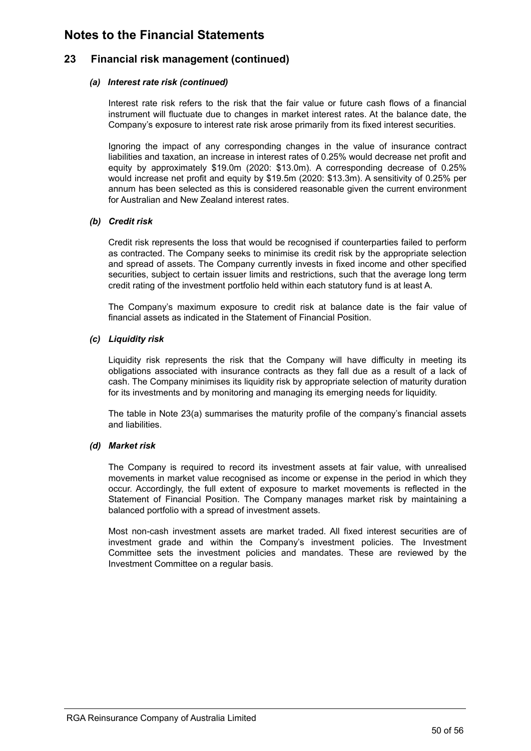### **23 Financial risk management (continued)**

### *(a) Interest rate risk (continued)*

Interest rate risk refers to the risk that the fair value or future cash flows of a financial instrument will fluctuate due to changes in market interest rates. At the balance date, the Company's exposure to interest rate risk arose primarily from its fixed interest securities.

Ignoring the impact of any corresponding changes in the value of insurance contract liabilities and taxation, an increase in interest rates of 0.25% would decrease net profit and equity by approximately \$19.0m (2020: \$13.0m). A corresponding decrease of 0.25% would increase net profit and equity by \$19.5m (2020: \$13.3m). A sensitivity of 0.25% per annum has been selected as this is considered reasonable given the current environment for Australian and New Zealand interest rates.

### *(b) Credit risk*

Credit risk represents the loss that would be recognised if counterparties failed to perform as contracted. The Company seeks to minimise its credit risk by the appropriate selection and spread of assets. The Company currently invests in fixed income and other specified securities, subject to certain issuer limits and restrictions, such that the average long term credit rating of the investment portfolio held within each statutory fund is at least A.

The Company's maximum exposure to credit risk at balance date is the fair value of financial assets as indicated in the Statement of Financial Position.

### *(c) Liquidity risk*

Liquidity risk represents the risk that the Company will have difficulty in meeting its obligations associated with insurance contracts as they fall due as a result of a lack of cash. The Company minimises its liquidity risk by appropriate selection of maturity duration for its investments and by monitoring and managing its emerging needs for liquidity.

The table in Note 23(a) summarises the maturity profile of the company's financial assets and liabilities.

### *(d) Market risk*

The Company is required to record its investment assets at fair value, with unrealised movements in market value recognised as income or expense in the period in which they occur. Accordingly, the full extent of exposure to market movements is reflected in the Statement of Financial Position. The Company manages market risk by maintaining a balanced portfolio with a spread of investment assets.

Most non-cash investment assets are market traded. All fixed interest securities are of investment grade and within the Company's investment policies. The Investment Committee sets the investment policies and mandates. These are reviewed by the Investment Committee on a regular basis.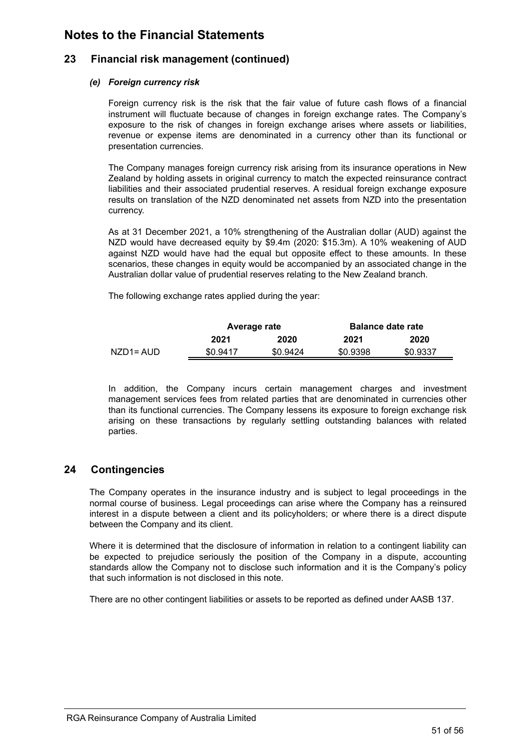### <span id="page-53-0"></span>**23 Financial risk management (continued)**

### *(e) Foreign currency risk*

Foreign currency risk is the risk that the fair value of future cash flows of a financial instrument will fluctuate because of changes in foreign exchange rates. The Company's exposure to the risk of changes in foreign exchange arises where assets or liabilities, revenue or expense items are denominated in a currency other than its functional or presentation currencies.

The Company manages foreign currency risk arising from its insurance operations in New Zealand by holding assets in original currency to match the expected reinsurance contract liabilities and their associated prudential reserves. A residual foreign exchange exposure results on translation of the NZD denominated net assets from NZD into the presentation currency.

As at 31 December 2021, a 10% strengthening of the Australian dollar (AUD) against the NZD would have decreased equity by \$9.4m (2020: \$15.3m). A 10% weakening of AUD against NZD would have had the equal but opposite effect to these amounts. In these scenarios, these changes in equity would be accompanied by an associated change in the Australian dollar value of prudential reserves relating to the New Zealand branch.

The following exchange rates applied during the year:

|             | Average rate |          | <b>Balance date rate</b> |          |  |
|-------------|--------------|----------|--------------------------|----------|--|
|             | 2021         | 2020     | 2021                     | 2020     |  |
| NZD1= AUD I | \$0.9417     | \$0.9424 | \$0.9398                 | \$0.9337 |  |

In addition, the Company incurs certain management charges and investment management services fees from related parties that are denominated in currencies other than its functional currencies. The Company lessens its exposure to foreign exchange risk arising on these transactions by regularly settling outstanding balances with related parties.

### **24 Contingencies**

The Company operates in the insurance industry and is subject to legal proceedings in the normal course of business. Legal proceedings can arise where the Company has a reinsured interest in a dispute between a client and its policyholders; or where there is a direct dispute between the Company and its client.

Where it is determined that the disclosure of information in relation to a contingent liability can be expected to prejudice seriously the position of the Company in a dispute, accounting standards allow the Company not to disclose such information and it is the Company's policy that such information is not disclosed in this note.

There are no other contingent liabilities or assets to be reported as defined under AASB 137.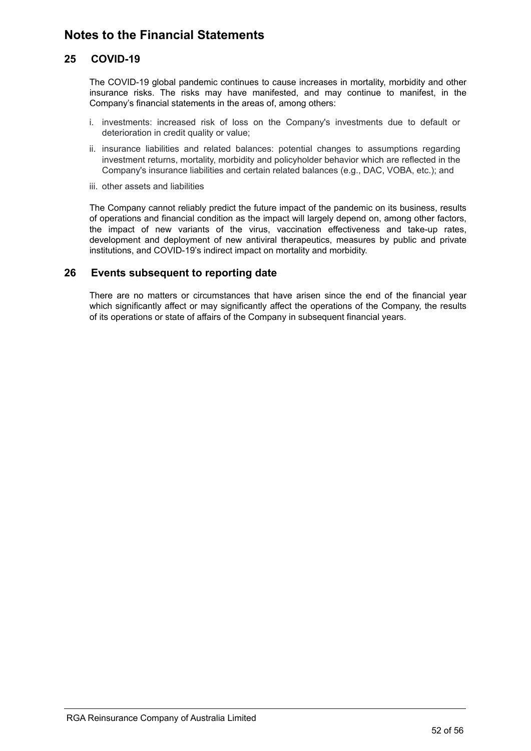### **25 COVID-19**

The COVID-19 global pandemic continues to cause increases in mortality, morbidity and other insurance risks. The risks may have manifested, and may continue to manifest, in the Company's financial statements in the areas of, among others:

- i. investments: increased risk of loss on the Company's investments due to default or deterioration in credit quality or value;
- ii. insurance liabilities and related balances: potential changes to assumptions regarding investment returns, mortality, morbidity and policyholder behavior which are reflected in the Company's insurance liabilities and certain related balances (e.g., DAC, VOBA, etc.); and
- iii. other assets and liabilities

The Company cannot reliably predict the future impact of the pandemic on its business, results of operations and financial condition as the impact will largely depend on, among other factors, the impact of new variants of the virus, vaccination effectiveness and take-up rates, development and deployment of new antiviral therapeutics, measures by public and private institutions, and COVID-19's indirect impact on mortality and morbidity.

### **26 Events subsequent to reporting date**

There are no matters or circumstances that have arisen since the end of the financial year which significantly affect or may significantly affect the operations of the Company, the results of its operations or state of affairs of the Company in subsequent financial years.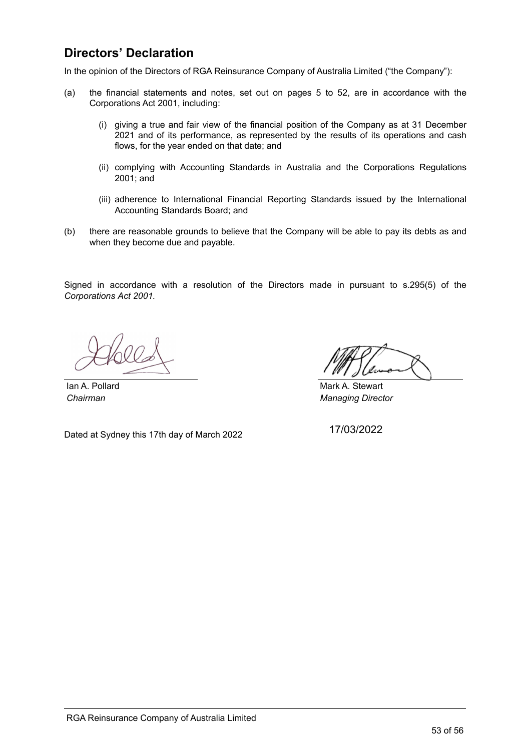### <span id="page-55-0"></span>**Directors' Declaration**

In the opinion of the Directors of RGA Reinsurance Company of Australia Limited ("the Company"):

- (a) the financial statements and notes, set out on pages 5 to 52, are in accordance with the Corporations Act 2001, including:
	- (i) giving a true and fair view of the financial position of the Company as at 31 December 2021 and of its performance, as represented by the results of its operations and cash flows, for the year ended on that date; and
	- (ii) complying with Accounting Standards in Australia and the Corporations Regulations 2001; and
	- (iii) adherence to International Financial Reporting Standards issued by the International Accounting Standards Board; and
- (b) there are reasonable grounds to believe that the Company will be able to pay its debts as and when they become due and payable.

Signed in accordance with a resolution of the Directors made in pursuant to s.295(5) of the *Corporations Act 2001.*

**Ian A. Pollard Mark A. Stewart** *Chairman Managing Director*

Dated at Sydney this 17th day of March 2022

17/03/2022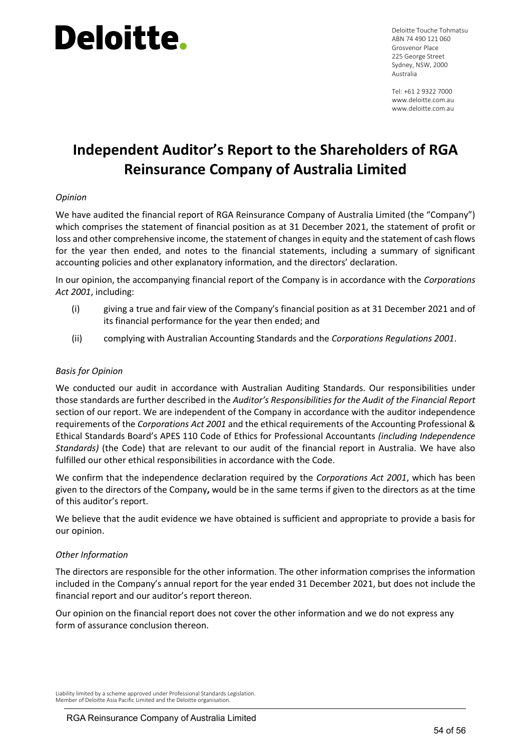Deloitte Touche Tohmatsu ABN 74 490 121 060 Grosvenor Place 225 George Street Sydney, NSW, 2000 Australia

Tel: +61 2 9322 7000 www.deloitte.com.au www.deloitte.com.au

### **Independent Auditor's Report to the Shareholders of RGA Reinsurance Company of Australia Limited**

### *Opinion*

We have audited the financial report of RGA Reinsurance Company of Australia Limited (the "Company") which comprises the statement of financial position as at 31 December 2021, the statement of profit or loss and other comprehensive income, the statement of changes in equity and the statement of cash flows for the year then ended, and notes to the financial statements, including a summary of significant accounting policies and other explanatory information, and the directors' declaration.

In our opinion, the accompanying financial report of the Company is in accordance with the *Corporations Act 2001*, including:

- (i) giving a true and fair view of the Company's financial position as at 31 December 2021 and of its financial performance for the year then ended; and
- (ii) complying with Australian Accounting Standards and the *Corporations Regulations 2001*.

### *Basis for Opinion*

We conducted our audit in accordance with Australian Auditing Standards. Our responsibilities under those standards are further described in the *Auditor's Responsibilities for the Audit of the Financial Report*  section of our report. We are independent of the Company in accordance with the auditor independence requirements of the *Corporations Act 2001* and the ethical requirements of the Accounting Professional & Ethical Standards Board's APES 110 Code of Ethics for Professional Accountants *(including Independence Standards)* (the Code) that are relevant to our audit of the financial report in Australia. We have also fulfilled our other ethical responsibilities in accordance with the Code.

We confirm that the independence declaration required by the *Corporations Act 2001*, which has been given to the directors of the Company**,** would be in the same terms if given to the directors as at the time of this auditor's report.

We believe that the audit evidence we have obtained is sufficient and appropriate to provide a basis for our opinion.

### *Other Information*

The directors are responsible for the other information. The other information comprises the information included in the Company's annual report for the year ended 31 December 2021, but does not include the financial report and our auditor's report thereon.

Our opinion on the financial report does not cover the other information and we do not express any form of assurance conclusion thereon.

Liability limited by a scheme approved under Professional Standards Legislation. Member of Deloitte Asia Pacific Limited and the Deloitte organisation.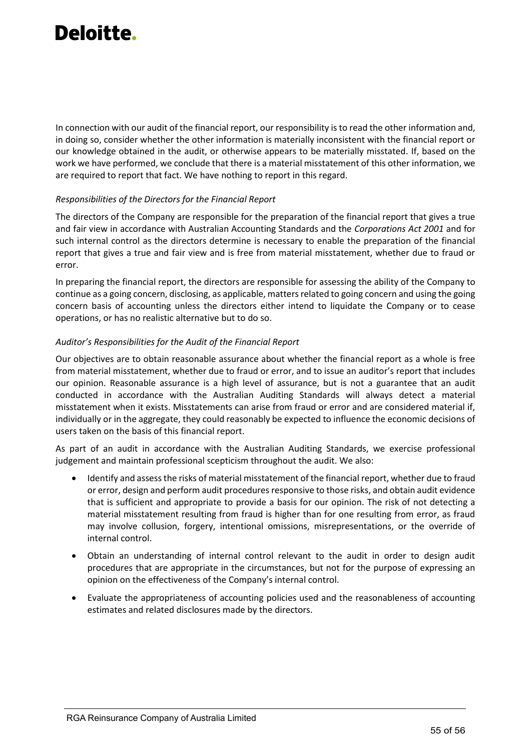In connection with our audit of the financial report, our responsibility is to read the other information and, in doing so, consider whether the other information is materially inconsistent with the financial report or our knowledge obtained in the audit, or otherwise appears to be materially misstated. If, based on the work we have performed, we conclude that there is a material misstatement of this other information, we are required to report that fact. We have nothing to report in this regard.

### *Responsibilities of the Directors for the Financial Report*

The directors of the Company are responsible for the preparation of the financial report that gives a true and fair view in accordance with Australian Accounting Standards and the *Corporations Act 2001* and for such internal control as the directors determine is necessary to enable the preparation of the financial report that gives a true and fair view and is free from material misstatement, whether due to fraud or error.

In preparing the financial report, the directors are responsible for assessing the ability of the Company to continue as a going concern, disclosing, as applicable, matters related to going concern and using the going concern basis of accounting unless the directors either intend to liquidate the Company or to cease operations, or has no realistic alternative but to do so.

### *Auditor's Responsibilities for the Audit of the Financial Report*

Our objectives are to obtain reasonable assurance about whether the financial report as a whole is free from material misstatement, whether due to fraud or error, and to issue an auditor's report that includes our opinion. Reasonable assurance is a high level of assurance, but is not a guarantee that an audit conducted in accordance with the Australian Auditing Standards will always detect a material misstatement when it exists. Misstatements can arise from fraud or error and are considered material if, individually or in the aggregate, they could reasonably be expected to influence the economic decisions of users taken on the basis of this financial report.

As part of an audit in accordance with the Australian Auditing Standards, we exercise professional judgement and maintain professional scepticism throughout the audit. We also:

- Identify and assess the risks of material misstatement of the financial report, whether due to fraud or error, design and perform audit procedures responsive to those risks, and obtain audit evidence that is sufficient and appropriate to provide a basis for our opinion. The risk of not detecting a material misstatement resulting from fraud is higher than for one resulting from error, as fraud may involve collusion, forgery, intentional omissions, misrepresentations, or the override of internal control.
- Obtain an understanding of internal control relevant to the audit in order to design audit procedures that are appropriate in the circumstances, but not for the purpose of expressing an opinion on the effectiveness of the Company's internal control.
- Evaluate the appropriateness of accounting policies used and the reasonableness of accounting estimates and related disclosures made by the directors.